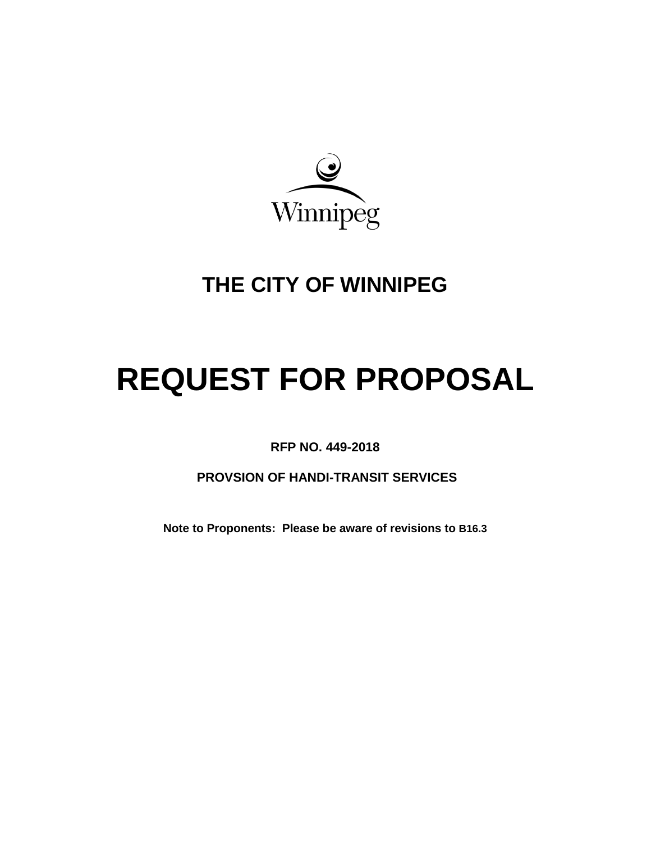

# **THE CITY OF WINNIPEG**

# **REQUEST FOR PROPOSAL**

<span id="page-0-0"></span>**RFP NO. 449-2018**

**PROVSION OF HANDI-TRANSIT SERVICES**

**Note to Proponents: Please be aware of revisions to [B16.3](#page-9-0)**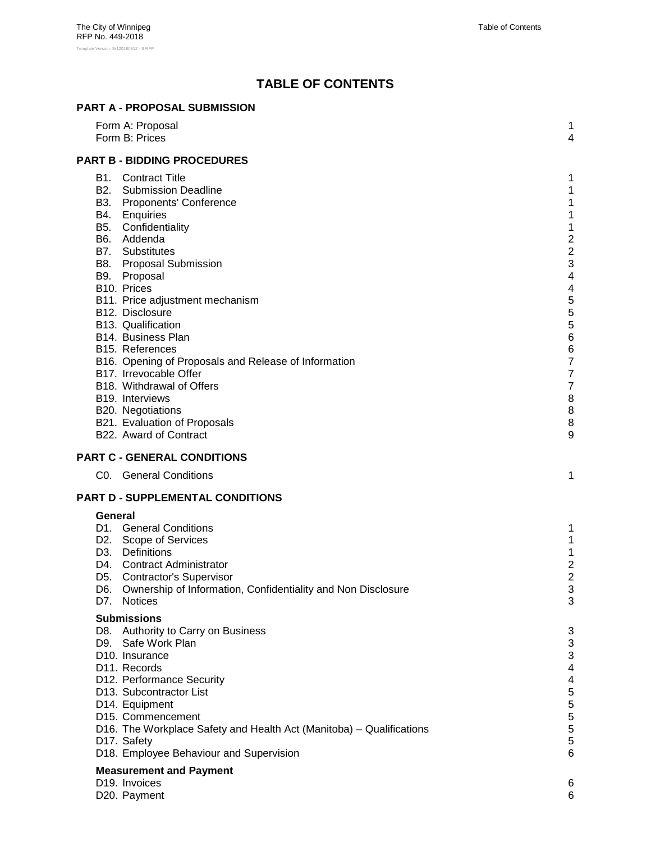# **TABLE OF CONTENTS**

|                | <b>PART A - PROPOSAL SUBMISSION</b>                                                                                                                                                                                                                                                                                                                                                                                                                                                                                                                                                                  |                                                                                                                                                                                                                      |
|----------------|------------------------------------------------------------------------------------------------------------------------------------------------------------------------------------------------------------------------------------------------------------------------------------------------------------------------------------------------------------------------------------------------------------------------------------------------------------------------------------------------------------------------------------------------------------------------------------------------------|----------------------------------------------------------------------------------------------------------------------------------------------------------------------------------------------------------------------|
|                | Form A: Proposal<br>Form B: Prices                                                                                                                                                                                                                                                                                                                                                                                                                                                                                                                                                                   | 1<br>4                                                                                                                                                                                                               |
|                | <b>PART B - BIDDING PROCEDURES</b>                                                                                                                                                                                                                                                                                                                                                                                                                                                                                                                                                                   |                                                                                                                                                                                                                      |
|                | <b>B1.</b> Contract Title<br><b>B2.</b> Submission Deadline<br>B3. Proponents' Conference<br>B4. Enquiries<br>B5. Confidentiality<br>B6. Addenda<br>B7. Substitutes<br><b>B8.</b> Proposal Submission<br>B9. Proposal<br>B <sub>10</sub> . Prices<br>B11. Price adjustment mechanism<br>B12. Disclosure<br>B13. Qualification<br>B14. Business Plan<br>B15. References<br>B16. Opening of Proposals and Release of Information<br>B17. Irrevocable Offer<br>B18. Withdrawal of Offers<br>B <sub>19</sub> . Interviews<br>B20. Negotiations<br>B21. Evaluation of Proposals<br>B22. Award of Contract | 1<br>$\mathbf 1$<br>1<br>1<br>1<br>$\overline{c}$<br>$\overline{\mathbf{c}}$<br>3<br>4<br>$\overline{\mathbf{4}}$<br>5<br>5<br>5<br>6<br>6<br>$\overline{7}$<br>$\overline{7}$<br>$\overline{7}$<br>8<br>8<br>8<br>9 |
|                |                                                                                                                                                                                                                                                                                                                                                                                                                                                                                                                                                                                                      |                                                                                                                                                                                                                      |
|                | PART C - GENERAL CONDITIONS<br>C0. General Conditions                                                                                                                                                                                                                                                                                                                                                                                                                                                                                                                                                | 1                                                                                                                                                                                                                    |
|                |                                                                                                                                                                                                                                                                                                                                                                                                                                                                                                                                                                                                      |                                                                                                                                                                                                                      |
|                | PART D - SUPPLEMENTAL CONDITIONS                                                                                                                                                                                                                                                                                                                                                                                                                                                                                                                                                                     |                                                                                                                                                                                                                      |
| General<br>D7. | D1. General Conditions<br>D2. Scope of Services<br>D3. Definitions<br>D4. Contract Administrator<br>D5. Contractor's Supervisor<br>D6. Ownership of Information, Confidentiality and Non Disclosure<br><b>Notices</b>                                                                                                                                                                                                                                                                                                                                                                                | 1<br>1<br>1<br>$\overline{2}$<br>2<br>3<br>3                                                                                                                                                                         |
|                | <b>Submissions</b>                                                                                                                                                                                                                                                                                                                                                                                                                                                                                                                                                                                   |                                                                                                                                                                                                                      |
|                | D8. Authority to Carry on Business<br>D9. Safe Work Plan<br>D <sub>10</sub> . Insurance<br>D11. Records<br>D12. Performance Security<br>D13. Subcontractor List<br>D14. Equipment<br>D15. Commencement<br>D16. The Workplace Safety and Health Act (Manitoba) - Qualifications<br>D17. Safety<br>D18. Employee Behaviour and Supervision                                                                                                                                                                                                                                                             | 3<br>3<br>3<br>$\overline{\mathbf{4}}$<br>4<br>5<br>5<br>5<br>5<br>5<br>6                                                                                                                                            |
|                | <b>Measurement and Payment</b><br>D <sub>19</sub> . Invoices                                                                                                                                                                                                                                                                                                                                                                                                                                                                                                                                         | 6                                                                                                                                                                                                                    |
|                | D20. Payment                                                                                                                                                                                                                                                                                                                                                                                                                                                                                                                                                                                         | 6                                                                                                                                                                                                                    |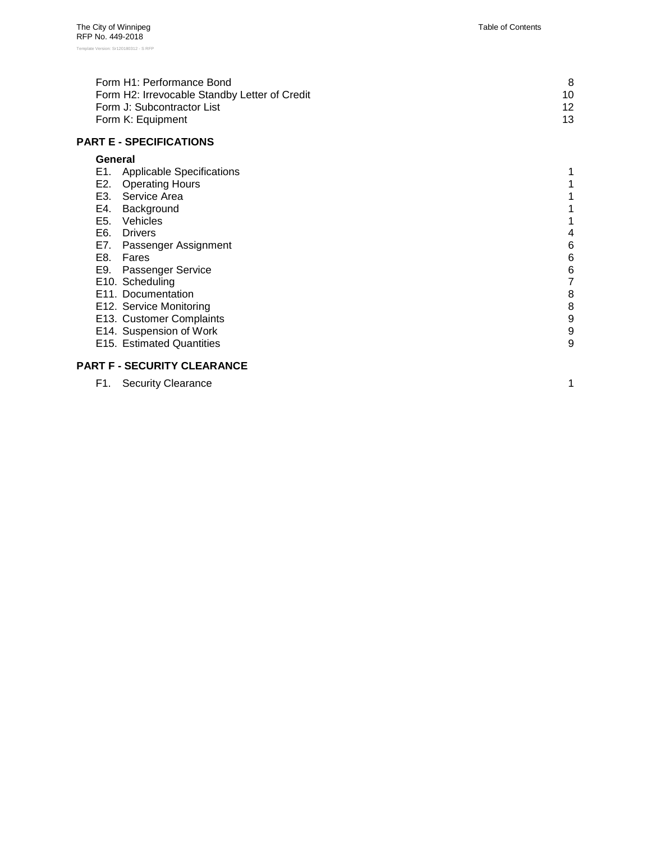| Form H1: Performance Bond                     |    |
|-----------------------------------------------|----|
| Form H2: Irrevocable Standby Letter of Credit | 10 |
| Form J: Subcontractor List                    | 12 |
| Form K: Equipment                             | 13 |

#### **PART E - [SPECIFICATIONS](#page-28-0)**

#### **[General](#page-28-1)**

| E1. | <b>Applicable Specifications</b> |   |
|-----|----------------------------------|---|
| E2. | <b>Operating Hours</b>           |   |
| E3. | Service Area                     |   |
| E4. | Background                       |   |
| E5. | Vehicles                         |   |
| E6. | <b>Drivers</b>                   | 4 |
| E7. | Passenger Assignment             | 6 |
| E8. | Fares                            | 6 |
|     | E9. Passenger Service            | 6 |
|     | E10. Scheduling                  | 7 |
|     | E11. Documentation               | 8 |
|     | E12. Service Monitoring          | 8 |
|     | E13. Customer Complaints         | 9 |
|     | E14. Suspension of Work          | 9 |
|     | E15. Estimated Quantities        | 9 |
|     |                                  |   |

## **PART F - [SECURITY CLEARANCE](#page-39-0)**

|  | F1. Security Clearance |  |
|--|------------------------|--|
|--|------------------------|--|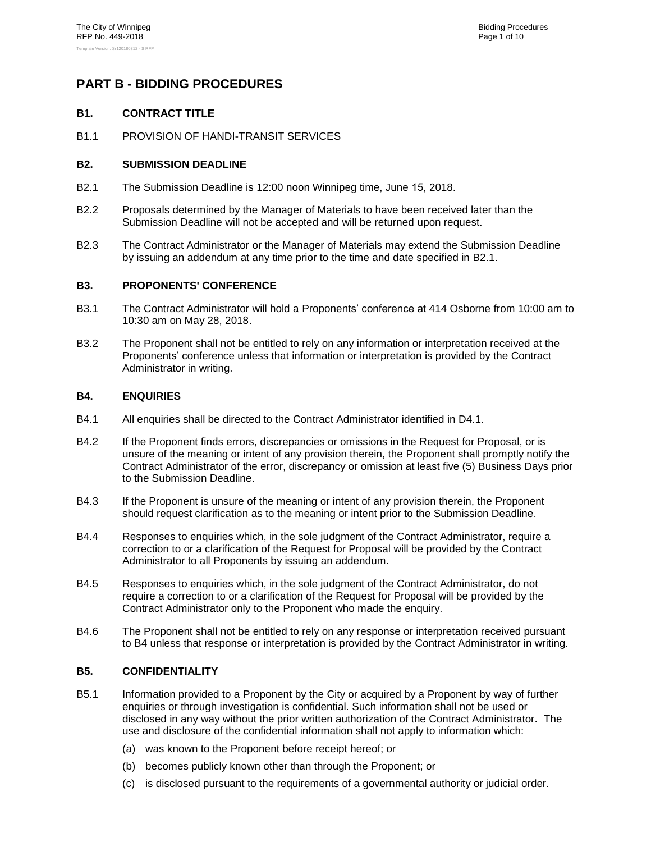## <span id="page-3-1"></span><span id="page-3-0"></span>**PART B - BIDDING PROCEDURES**

#### **B1. CONTRACT TITLE**

<span id="page-3-2"></span>B1.1 PROVISION OF HANDI-TRANSIT SERVICES

#### **B2. SUBMISSION DEADLINE**

- <span id="page-3-6"></span>B2.1 The Submission Deadline is 12:00 noon Winnipeg time, June 15, 2018.
- B2.2 Proposals determined by the Manager of Materials to have been received later than the Submission Deadline will not be accepted and will be returned upon request.
- B2.3 The Contract Administrator or the Manager of Materials may extend the Submission Deadline by issuing an addendum at any time prior to the time and date specified in [B2.1.](#page-3-6)

#### <span id="page-3-3"></span>**B3. PROPONENTS' CONFERENCE**

- B3.1 The Contract Administrator will hold a Proponents' conference at 414 Osborne from 10:00 am to 10:30 am on May 28, 2018.
- B3.2 The Proponent shall not be entitled to rely on any information or interpretation received at the Proponents' conference unless that information or interpretation is provided by the Contract Administrator in writing.

#### <span id="page-3-4"></span>**B4. ENQUIRIES**

- B4.1 All enquiries shall be directed to the Contract Administrator identified in [D4.1](#page-15-0).
- B4.2 If the Proponent finds errors, discrepancies or omissions in the Request for Proposal, or is unsure of the meaning or intent of any provision therein, the Proponent shall promptly notify the Contract Administrator of the error, discrepancy or omission at least five (5) Business Days prior to the Submission Deadline.
- B4.3 If the Proponent is unsure of the meaning or intent of any provision therein, the Proponent should request clarification as to the meaning or intent prior to the Submission Deadline.
- B4.4 Responses to enquiries which, in the sole judgment of the Contract Administrator, require a correction to or a clarification of the Request for Proposal will be provided by the Contract Administrator to all Proponents by issuing an addendum.
- B4.5 Responses to enquiries which, in the sole judgment of the Contract Administrator, do not require a correction to or a clarification of the Request for Proposal will be provided by the Contract Administrator only to the Proponent who made the enquiry.
- B4.6 The Proponent shall not be entitled to rely on any response or interpretation received pursuant to [B4](#page-3-4) unless that response or interpretation is provided by the Contract Administrator in writing.

#### <span id="page-3-5"></span>**B5. CONFIDENTIALITY**

- B5.1 Information provided to a Proponent by the City or acquired by a Proponent by way of further enquiries or through investigation is confidential. Such information shall not be used or disclosed in any way without the prior written authorization of the Contract Administrator. The use and disclosure of the confidential information shall not apply to information which:
	- (a) was known to the Proponent before receipt hereof; or
	- (b) becomes publicly known other than through the Proponent; or
	- (c) is disclosed pursuant to the requirements of a governmental authority or judicial order.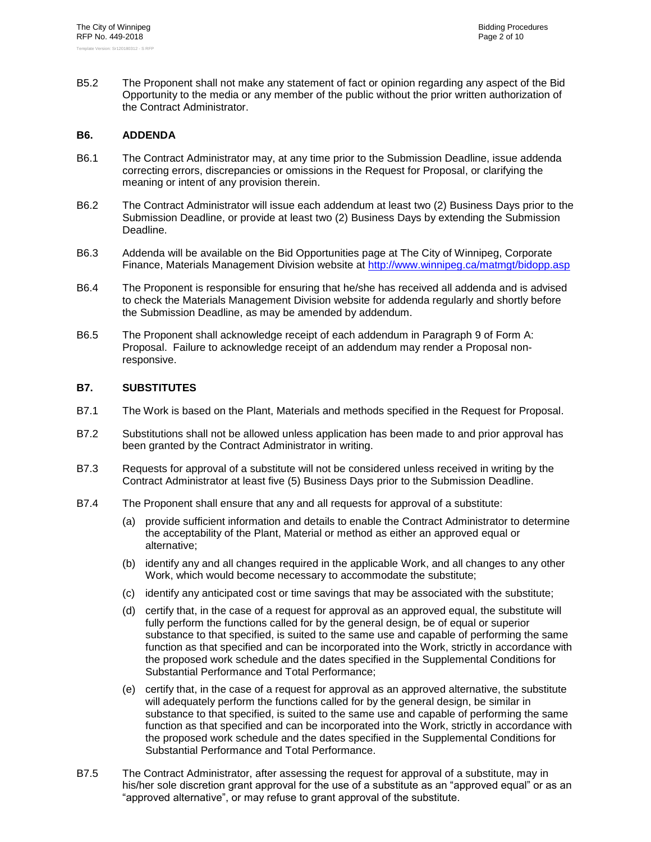B5.2 The Proponent shall not make any statement of fact or opinion regarding any aspect of the Bid Opportunity to the media or any member of the public without the prior written authorization of the Contract Administrator.

#### <span id="page-4-0"></span>**B6. ADDENDA**

- B6.1 The Contract Administrator may, at any time prior to the Submission Deadline, issue addenda correcting errors, discrepancies or omissions in the Request for Proposal, or clarifying the meaning or intent of any provision therein.
- B6.2 The Contract Administrator will issue each addendum at least two (2) Business Days prior to the Submission Deadline, or provide at least two (2) Business Days by extending the Submission Deadline.
- B6.3 Addenda will be available on the Bid Opportunities page at The City of Winnipeg, Corporate Finance, Materials Management Division website at<http://www.winnipeg.ca/matmgt/bidopp.asp>
- B6.4 The Proponent is responsible for ensuring that he/she has received all addenda and is advised to check the Materials Management Division website for addenda regularly and shortly before the Submission Deadline, as may be amended by addendum.
- B6.5 The Proponent shall acknowledge receipt of each addendum in Paragraph [9](#page--1-1) of Form A: Proposal. Failure to acknowledge receipt of an addendum may render a Proposal nonresponsive.

#### <span id="page-4-1"></span>**B7. SUBSTITUTES**

- B7.1 The Work is based on the Plant, Materials and methods specified in the Request for Proposal.
- B7.2 Substitutions shall not be allowed unless application has been made to and prior approval has been granted by the Contract Administrator in writing.
- B7.3 Requests for approval of a substitute will not be considered unless received in writing by the Contract Administrator at least five (5) Business Days prior to the Submission Deadline.
- B7.4 The Proponent shall ensure that any and all requests for approval of a substitute:
	- (a) provide sufficient information and details to enable the Contract Administrator to determine the acceptability of the Plant, Material or method as either an approved equal or alternative;
	- (b) identify any and all changes required in the applicable Work, and all changes to any other Work, which would become necessary to accommodate the substitute;
	- (c) identify any anticipated cost or time savings that may be associated with the substitute;
	- (d) certify that, in the case of a request for approval as an approved equal, the substitute will fully perform the functions called for by the general design, be of equal or superior substance to that specified, is suited to the same use and capable of performing the same function as that specified and can be incorporated into the Work, strictly in accordance with the proposed work schedule and the dates specified in the Supplemental Conditions for Substantial Performance and Total Performance;
	- (e) certify that, in the case of a request for approval as an approved alternative, the substitute will adequately perform the functions called for by the general design, be similar in substance to that specified, is suited to the same use and capable of performing the same function as that specified and can be incorporated into the Work, strictly in accordance with the proposed work schedule and the dates specified in the Supplemental Conditions for Substantial Performance and Total Performance.
- B7.5 The Contract Administrator, after assessing the request for approval of a substitute, may in his/her sole discretion grant approval for the use of a substitute as an "approved equal" or as an "approved alternative", or may refuse to grant approval of the substitute.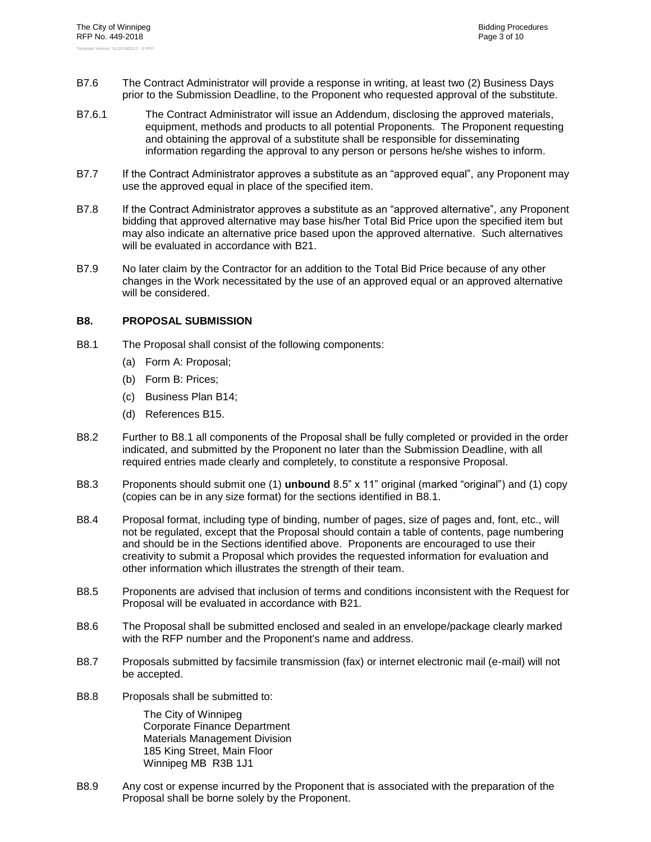- B7.6 The Contract Administrator will provide a response in writing, at least two (2) Business Days prior to the Submission Deadline, to the Proponent who requested approval of the substitute.
- B7.6.1 The Contract Administrator will issue an Addendum, disclosing the approved materials, equipment, methods and products to all potential Proponents. The Proponent requesting and obtaining the approval of a substitute shall be responsible for disseminating information regarding the approval to any person or persons he/she wishes to inform.
- B7.7 If the Contract Administrator approves a substitute as an "approved equal", any Proponent may use the approved equal in place of the specified item.
- B7.8 If the Contract Administrator approves a substitute as an "approved alternative", any Proponent bidding that approved alternative may base his/her Total Bid Price upon the specified item but may also indicate an alternative price based upon the approved alternative. Such alternatives will be evaluated in accordance with [B21.](#page-10-2)
- B7.9 No later claim by the Contractor for an addition to the Total Bid Price because of any other changes in the Work necessitated by the use of an approved equal or an approved alternative will be considered.

#### <span id="page-5-1"></span><span id="page-5-0"></span>**B8. PROPOSAL SUBMISSION**

- B8.1 The Proposal shall consist of the following components:
	- (a) Form A: Proposal;
	- (b) Form B: Prices;
	- (c) Business Plan [B14;](#page-8-0)
	- (d) References [B15.](#page-8-1)
- B8.2 Further to [B8.1](#page-5-1) all components of the Proposal shall be fully completed or provided in the order indicated, and submitted by the Proponent no later than the Submission Deadline, with all required entries made clearly and completely, to constitute a responsive Proposal.
- B8.3 Proponents should submit one (1) **unbound** 8.5" x 11" original (marked "original") and (1) copy (copies can be in any size format) for the sections identified in [B8.1.](#page-5-1)
- B8.4 Proposal format, including type of binding, number of pages, size of pages and, font, etc., will not be regulated, except that the Proposal should contain a table of contents, page numbering and should be in the Sections identified above. Proponents are encouraged to use their creativity to submit a Proposal which provides the requested information for evaluation and other information which illustrates the strength of their team.
- B8.5 Proponents are advised that inclusion of terms and conditions inconsistent with the Request for Proposal will be evaluated in accordance with [B21.](#page-10-2)
- B8.6 The Proposal shall be submitted enclosed and sealed in an envelope/package clearly marked with the RFP number and the Proponent's name and address.
- B8.7 Proposals submitted by facsimile transmission (fax) or internet electronic mail (e-mail) will not be accepted.
- B8.8 Proposals shall be submitted to:

The City of Winnipeg Corporate Finance Department Materials Management Division 185 King Street, Main Floor Winnipeg MB R3B 1J1

B8.9 Any cost or expense incurred by the Proponent that is associated with the preparation of the Proposal shall be borne solely by the Proponent.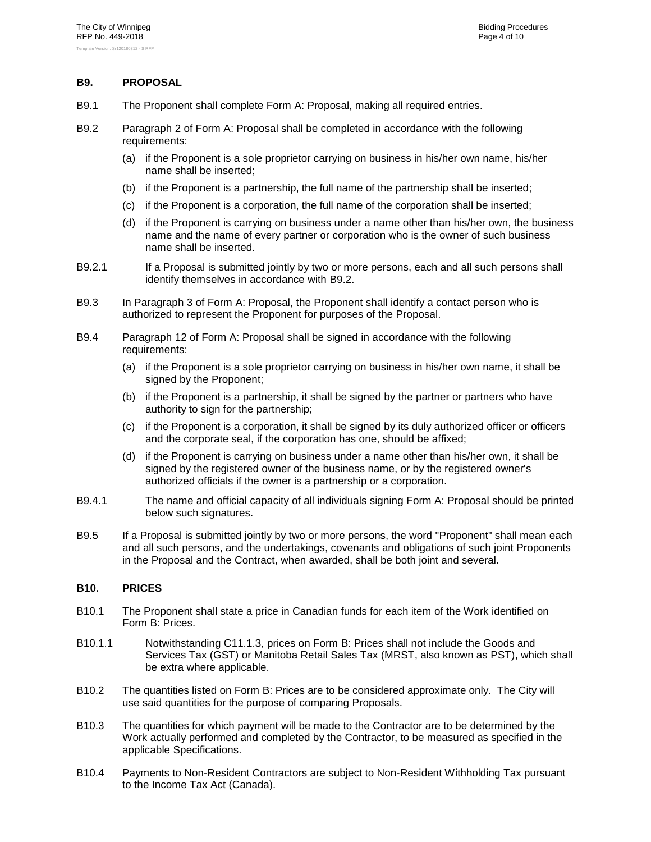#### <span id="page-6-0"></span>**B9. PROPOSAL**

- B9.1 The Proponent shall complete Form A: Proposal, making all required entries.
- <span id="page-6-2"></span>B9.2 Paragraph [2](#page--1-2) of Form A: Proposal shall be completed in accordance with the following requirements:
	- (a) if the Proponent is a sole proprietor carrying on business in his/her own name, his/her name shall be inserted;
	- (b) if the Proponent is a partnership, the full name of the partnership shall be inserted;
	- (c) if the Proponent is a corporation, the full name of the corporation shall be inserted;
	- (d) if the Proponent is carrying on business under a name other than his/her own, the business name and the name of every partner or corporation who is the owner of such business name shall be inserted.
- B9.2.1 If a Proposal is submitted jointly by two or more persons, each and all such persons shall identify themselves in accordance with [B9.2.](#page-6-2)
- B9.3 In Paragraph [3](#page--1-3) of Form A: Proposal, the Proponent shall identify a contact person who is authorized to represent the Proponent for purposes of the Proposal.
- B9.4 Paragraph [12](#page--1-0) of Form A: Proposal shall be signed in accordance with the following requirements:
	- (a) if the Proponent is a sole proprietor carrying on business in his/her own name, it shall be signed by the Proponent;
	- (b) if the Proponent is a partnership, it shall be signed by the partner or partners who have authority to sign for the partnership;
	- (c) if the Proponent is a corporation, it shall be signed by its duly authorized officer or officers and the corporate seal, if the corporation has one, should be affixed;
	- (d) if the Proponent is carrying on business under a name other than his/her own, it shall be signed by the registered owner of the business name, or by the registered owner's authorized officials if the owner is a partnership or a corporation.
- B9.4.1 The name and official capacity of all individuals signing Form A: Proposal should be printed below such signatures.
- B9.5 If a Proposal is submitted jointly by two or more persons, the word "Proponent" shall mean each and all such persons, and the undertakings, covenants and obligations of such joint Proponents in the Proposal and the Contract, when awarded, shall be both joint and several.

#### <span id="page-6-1"></span>**B10. PRICES**

- B10.1 The Proponent shall state a price in Canadian funds for each item of the Work identified on Form B: Prices.
- B10.1.1 Notwithstanding C11.1.3, prices on Form B: Prices shall not include the Goods and Services Tax (GST) or Manitoba Retail Sales Tax (MRST, also known as PST), which shall be extra where applicable.
- B10.2 The quantities listed on Form B: Prices are to be considered approximate only. The City will use said quantities for the purpose of comparing Proposals.
- B10.3 The quantities for which payment will be made to the Contractor are to be determined by the Work actually performed and completed by the Contractor, to be measured as specified in the applicable Specifications.
- B10.4 Payments to Non-Resident Contractors are subject to Non-Resident Withholding Tax pursuant to the Income Tax Act (Canada).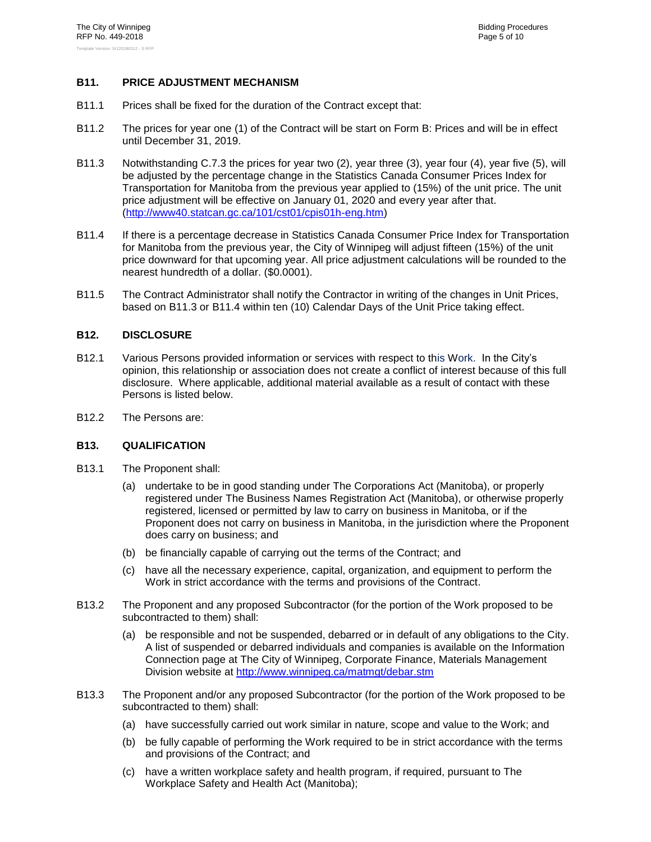#### <span id="page-7-0"></span>**B11. PRICE ADJUSTMENT MECHANISM**

- B11.1 Prices shall be fixed for the duration of the Contract except that:
- B11.2 The prices for year one (1) of the Contract will be start on Form B: Prices and will be in effect until December 31, 2019.
- <span id="page-7-3"></span>B11.3 Notwithstanding C.7.3 the prices for year two (2), year three (3), year four (4), year five (5), will be adjusted by the percentage change in the Statistics Canada Consumer Prices Index for Transportation for Manitoba from the previous year applied to (15%) of the unit price. The unit price adjustment will be effective on January 01, 2020 and every year after that. [\(http://www40.statcan.gc.ca/101/cst01/cpis01h-eng.htm\)](http://www40.statcan.gc.ca/101/cst01/cpis01h-eng.htm)
- <span id="page-7-4"></span>B11.4 If there is a percentage decrease in Statistics Canada Consumer Price Index for Transportation for Manitoba from the previous year, the City of Winnipeg will adjust fifteen (15%) of the unit price downward for that upcoming year. All price adjustment calculations will be rounded to the nearest hundredth of a dollar. (\$0.0001).
- B11.5 The Contract Administrator shall notify the Contractor in writing of the changes in Unit Prices, based on [B11.3](#page-7-3) or [B11.4](#page-7-4) within ten (10) Calendar Days of the Unit Price taking effect.

#### <span id="page-7-1"></span>**B12. DISCLOSURE**

- B12.1 Various Persons provided information or services with respect to this Work. In the City's opinion, this relationship or association does not create a conflict of interest because of this full disclosure. Where applicable, additional material available as a result of contact with these Persons is listed below.
- <span id="page-7-2"></span>B12.2 The Persons are:

#### **B13. QUALIFICATION**

- B13.1 The Proponent shall:
	- (a) undertake to be in good standing under The Corporations Act (Manitoba), or properly registered under The Business Names Registration Act (Manitoba), or otherwise properly registered, licensed or permitted by law to carry on business in Manitoba, or if the Proponent does not carry on business in Manitoba, in the jurisdiction where the Proponent does carry on business; and
	- (b) be financially capable of carrying out the terms of the Contract; and
	- (c) have all the necessary experience, capital, organization, and equipment to perform the Work in strict accordance with the terms and provisions of the Contract.
- B13.2 The Proponent and any proposed Subcontractor (for the portion of the Work proposed to be subcontracted to them) shall:
	- (a) be responsible and not be suspended, debarred or in default of any obligations to the City. A list of suspended or debarred individuals and companies is available on the Information Connection page at The City of Winnipeg, Corporate Finance, Materials Management Division website at<http://www.winnipeg.ca/matmgt/debar.stm>
- <span id="page-7-5"></span>B13.3 The Proponent and/or any proposed Subcontractor (for the portion of the Work proposed to be subcontracted to them) shall:
	- (a) have successfully carried out work similar in nature, scope and value to the Work; and
	- (b) be fully capable of performing the Work required to be in strict accordance with the terms and provisions of the Contract; and
	- (c) have a written workplace safety and health program, if required, pursuant to The Workplace Safety and Health Act (Manitoba);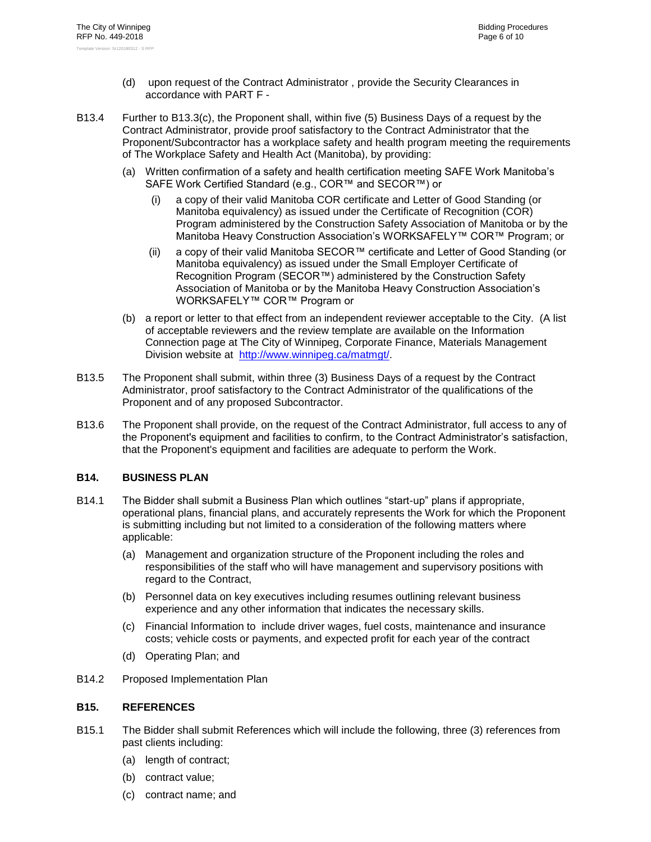- (d) upon request of the Contract Administrator , provide the Security Clearances in accordance with [PART F -](#page-39-0)
- <span id="page-8-2"></span>B13.4 Further to [B13.3\(c\),](#page-7-5) the Proponent shall, within five (5) Business Days of a request by the Contract Administrator, provide proof satisfactory to the Contract Administrator that the Proponent/Subcontractor has a workplace safety and health program meeting the requirements of The Workplace Safety and Health Act (Manitoba), by providing:
	- (a) Written confirmation of a safety and health certification meeting SAFE Work Manitoba's SAFE Work Certified Standard (e.g., COR™ and SECOR™) or
		- (i) a copy of their valid Manitoba COR certificate and Letter of Good Standing (or Manitoba equivalency) as issued under the Certificate of Recognition (COR) Program administered by the Construction Safety Association of Manitoba or by the Manitoba Heavy Construction Association's WORKSAFELY™ COR™ Program; or
		- (ii) a copy of their valid Manitoba SECOR™ certificate and Letter of Good Standing (or Manitoba equivalency) as issued under the Small Employer Certificate of Recognition Program (SECOR™) administered by the Construction Safety Association of Manitoba or by the Manitoba Heavy Construction Association's WORKSAFELY™ COR™ Program or
	- (b) a report or letter to that effect from an independent reviewer acceptable to the City. (A list of acceptable reviewers and the review template are available on the Information Connection page at The City of Winnipeg, Corporate Finance, Materials Management Division website at [http://www.winnipeg.ca/matmgt/.](http://www.winnipeg.ca/matmgt/)
- B13.5 The Proponent shall submit, within three (3) Business Days of a request by the Contract Administrator, proof satisfactory to the Contract Administrator of the qualifications of the Proponent and of any proposed Subcontractor.
- B13.6 The Proponent shall provide, on the request of the Contract Administrator, full access to any of the Proponent's equipment and facilities to confirm, to the Contract Administrator's satisfaction, that the Proponent's equipment and facilities are adequate to perform the Work.

#### <span id="page-8-0"></span>**B14. BUSINESS PLAN**

- B14.1 The Bidder shall submit a Business Plan which outlines "start-up" plans if appropriate, operational plans, financial plans, and accurately represents the Work for which the Proponent is submitting including but not limited to a consideration of the following matters where applicable:
	- (a) Management and organization structure of the Proponent including the roles and responsibilities of the staff who will have management and supervisory positions with regard to the Contract,
	- (b) Personnel data on key executives including resumes outlining relevant business experience and any other information that indicates the necessary skills.
	- (c) Financial Information to include driver wages, fuel costs, maintenance and insurance costs; vehicle costs or payments, and expected profit for each year of the contract
	- (d) Operating Plan; and
- <span id="page-8-1"></span>B14.2 Proposed Implementation Plan

#### **B15. REFERENCES**

- B15.1 The Bidder shall submit References which will include the following, three (3) references from past clients including:
	- (a) length of contract;
	- (b) contract value;
	- (c) contract name; and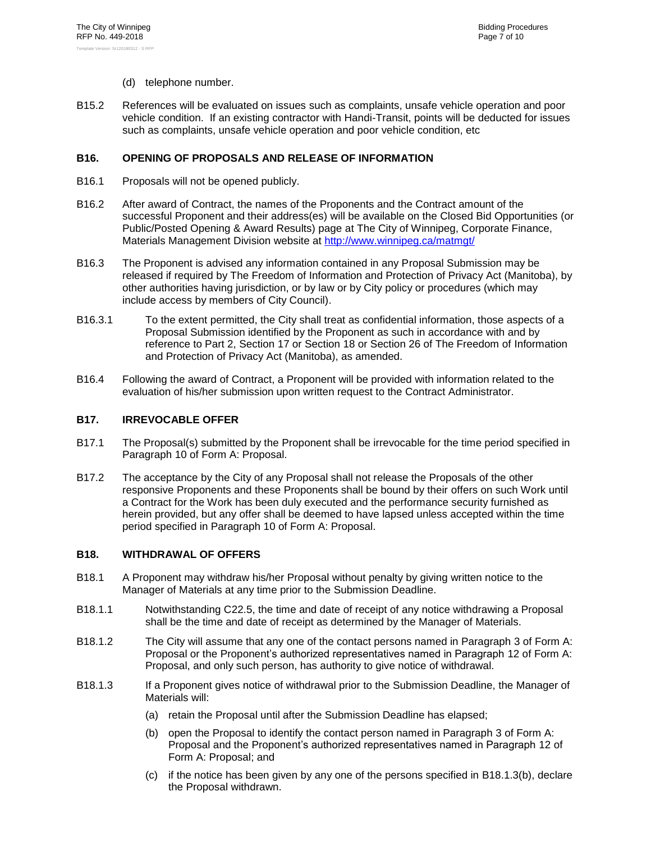- (d) telephone number.
- B15.2 References will be evaluated on issues such as complaints, unsafe vehicle operation and poor vehicle condition. If an existing contractor with Handi-Transit, points will be deducted for issues such as complaints, unsafe vehicle operation and poor vehicle condition, etc

#### <span id="page-9-1"></span>**B16. OPENING OF PROPOSALS AND RELEASE OF INFORMATION**

- B16.1 Proposals will not be opened publicly.
- B16.2 After award of Contract, the names of the Proponents and the Contract amount of the successful Proponent and their address(es) will be available on the Closed Bid Opportunities (or Public/Posted Opening & Award Results) page at The City of Winnipeg, Corporate Finance, Materials Management Division website at http://www.winnipeg.ca/matmat/
- <span id="page-9-0"></span>B16.3 The Proponent is advised any information contained in any Proposal Submission may be released if required by The Freedom of Information and Protection of Privacy Act (Manitoba), by other authorities having jurisdiction, or by law or by City policy or procedures (which may include access by members of City Council).
- B16.3.1 To the extent permitted, the City shall treat as confidential information, those aspects of a Proposal Submission identified by the Proponent as such in accordance with and by reference to Part 2, Section 17 or Section 18 or Section 26 of The Freedom of Information and Protection of Privacy Act (Manitoba), as amended.
- B16.4 Following the award of Contract, a Proponent will be provided with information related to the evaluation of his/her submission upon written request to the Contract Administrator.

#### <span id="page-9-2"></span>**B17. IRREVOCABLE OFFER**

- B17.1 The Proposal(s) submitted by the Proponent shall be irrevocable for the time period specified in Paragraph [10](#page--1-4) of Form A: Proposal.
- <span id="page-9-5"></span>B17.2 The acceptance by the City of any Proposal shall not release the Proposals of the other responsive Proponents and these Proponents shall be bound by their offers on such Work until a Contract for the Work has been duly executed and the performance security furnished as herein provided, but any offer shall be deemed to have lapsed unless accepted within the time period specified in Paragraph [10](#page--1-4) of Form A: Proposal.

#### <span id="page-9-3"></span>**B18. WITHDRAWAL OF OFFERS**

- B18.1 A Proponent may withdraw his/her Proposal without penalty by giving written notice to the Manager of Materials at any time prior to the Submission Deadline.
- B18.1.1 Notwithstanding C22.5, the time and date of receipt of any notice withdrawing a Proposal shall be the time and date of receipt as determined by the Manager of Materials.
- B18.1.2 The City will assume that any one of the contact persons named in Paragraph [3](#page--1-3) of Form A: Proposal or the Proponent's authorized representatives named in Paragraph [12](#page--1-0) of Form A: Proposal, and only such person, has authority to give notice of withdrawal.
- <span id="page-9-4"></span>B18.1.3 If a Proponent gives notice of withdrawal prior to the Submission Deadline, the Manager of Materials will:
	- (a) retain the Proposal until after the Submission Deadline has elapsed;
	- (b) open the Proposal to identify the contact person named in Paragraph [3](#page--1-3) of Form A: Proposal and the Proponent's authorized representatives named in Paragraph [12](#page--1-0) of Form A: Proposal; and
	- (c) if the notice has been given by any one of the persons specified in [B18.1.3\(b\),](#page-9-4) declare the Proposal withdrawn.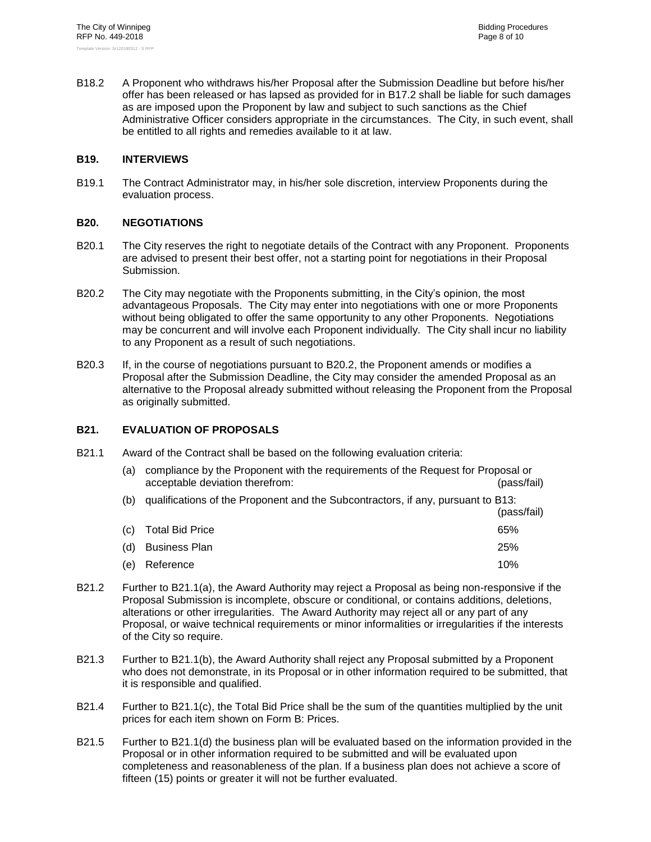B18.2 A Proponent who withdraws his/her Proposal after the Submission Deadline but before his/her offer has been released or has lapsed as provided for in [B17.2](#page-9-5) shall be liable for such damages as are imposed upon the Proponent by law and subject to such sanctions as the Chief Administrative Officer considers appropriate in the circumstances. The City, in such event, shall be entitled to all rights and remedies available to it at law.

#### <span id="page-10-0"></span>**B19. INTERVIEWS**

B19.1 The Contract Administrator may, in his/her sole discretion, interview Proponents during the evaluation process.

#### <span id="page-10-1"></span>**B20. NEGOTIATIONS**

- B20.1 The City reserves the right to negotiate details of the Contract with any Proponent. Proponents are advised to present their best offer, not a starting point for negotiations in their Proposal Submission.
- <span id="page-10-3"></span>B20.2 The City may negotiate with the Proponents submitting, in the City's opinion, the most advantageous Proposals. The City may enter into negotiations with one or more Proponents without being obligated to offer the same opportunity to any other Proponents. Negotiations may be concurrent and will involve each Proponent individually. The City shall incur no liability to any Proponent as a result of such negotiations.
- B20.3 If, in the course of negotiations pursuant to [B20.2,](#page-10-3) the Proponent amends or modifies a Proposal after the Submission Deadline, the City may consider the amended Proposal as an alternative to the Proposal already submitted without releasing the Proponent from the Proposal as originally submitted.

#### <span id="page-10-2"></span>**B21. EVALUATION OF PROPOSALS**

<span id="page-10-5"></span><span id="page-10-4"></span>B21.1 Award of the Contract shall be based on the following evaluation criteria:

| (a)               | compliance by the Proponent with the requirements of the Request for Proposal or<br>acceptable deviation therefrom: | (pass/fail) |
|-------------------|---------------------------------------------------------------------------------------------------------------------|-------------|
| (b)               | qualifications of the Proponent and the Subcontractors, if any, pursuant to B13:                                    | (pass/fail) |
| $\left( c\right)$ | <b>Total Bid Price</b>                                                                                              | 65%         |
| (d)               | <b>Business Plan</b>                                                                                                | 25%         |
| (e)               | Reference                                                                                                           | 10%         |

- <span id="page-10-8"></span><span id="page-10-7"></span><span id="page-10-6"></span>B21.2 Further to [B21.1\(a\),](#page-10-4) the Award Authority may reject a Proposal as being non-responsive if the Proposal Submission is incomplete, obscure or conditional, or contains additions, deletions, alterations or other irregularities. The Award Authority may reject all or any part of any Proposal, or waive technical requirements or minor informalities or irregularities if the interests of the City so require.
- B21.3 Further to [B21.1\(b\),](#page-10-5) the Award Authority shall reject any Proposal submitted by a Proponent who does not demonstrate, in its Proposal or in other information required to be submitted, that it is responsible and qualified.
- B21.4 Further to [B21.1\(c\),](#page-10-6) the Total Bid Price shall be the sum of the quantities multiplied by the unit prices for each item shown on Form B: Prices.
- B21.5 Further to [B21.1\(d\)](#page-10-7) the business plan will be evaluated based on the information provided in the Proposal or in other information required to be submitted and will be evaluated upon completeness and reasonableness of the plan. If a business plan does not achieve a score of fifteen (15) points or greater it will not be further evaluated.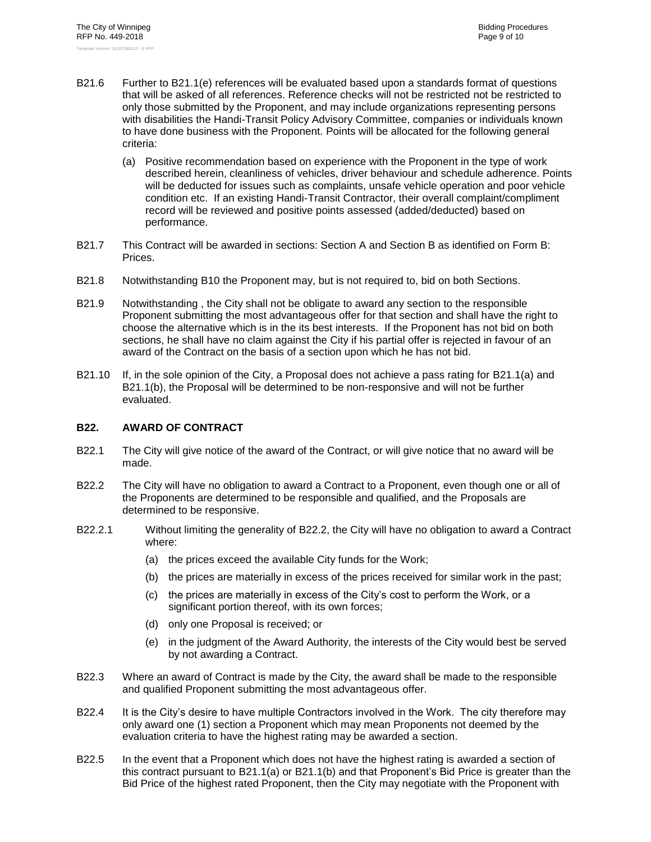- B21.6 Further to [B21.1\(e\)](#page-10-8) references will be evaluated based upon a standards format of questions that will be asked of all references. Reference checks will not be restricted not be restricted to only those submitted by the Proponent, and may include organizations representing persons with disabilities the Handi-Transit Policy Advisory Committee, companies or individuals known to have done business with the Proponent. Points will be allocated for the following general criteria:
	- (a) Positive recommendation based on experience with the Proponent in the type of work described herein, cleanliness of vehicles, driver behaviour and schedule adherence. Points will be deducted for issues such as complaints, unsafe vehicle operation and poor vehicle condition etc. If an existing Handi-Transit Contractor, their overall complaint/compliment record will be reviewed and positive points assessed (added/deducted) based on performance.
- B21.7 This Contract will be awarded in sections: Section A and Section B as identified on Form B: Prices.
- B21.8 Notwithstanding [B10](#page-6-1) the Proponent may, but is not required to, bid on both Sections.
- B21.9 Notwithstanding , the City shall not be obligate to award any section to the responsible Proponent submitting the most advantageous offer for that section and shall have the right to choose the alternative which is in the its best interests. If the Proponent has not bid on both sections, he shall have no claim against the City if his partial offer is rejected in favour of an award of the Contract on the basis of a section upon which he has not bid.
- B21.10 If, in the sole opinion of the City, a Proposal does not achieve a pass rating for [B21.1\(a\)](#page-10-4) and [B21.1\(b\),](#page-10-5) the Proposal will be determined to be non-responsive and will not be further evaluated.

#### <span id="page-11-0"></span>**B22. AWARD OF CONTRACT**

- B22.1 The City will give notice of the award of the Contract, or will give notice that no award will be made.
- <span id="page-11-1"></span>B22.2 The City will have no obligation to award a Contract to a Proponent, even though one or all of the Proponents are determined to be responsible and qualified, and the Proposals are determined to be responsive.
- B22.2.1 Without limiting the generality of [B22.2,](#page-11-1) the City will have no obligation to award a Contract where:
	- (a) the prices exceed the available City funds for the Work;
	- (b) the prices are materially in excess of the prices received for similar work in the past;
	- (c) the prices are materially in excess of the City's cost to perform the Work, or a significant portion thereof, with its own forces;
	- (d) only one Proposal is received; or
	- (e) in the judgment of the Award Authority, the interests of the City would best be served by not awarding a Contract.
- B22.3 Where an award of Contract is made by the City, the award shall be made to the responsible and qualified Proponent submitting the most advantageous offer.
- B22.4 It is the City's desire to have multiple Contractors involved in the Work. The city therefore may only award one (1) section a Proponent which may mean Proponents not deemed by the evaluation criteria to have the highest rating may be awarded a section.
- B22.5 In the event that a Proponent which does not have the highest rating is awarded a section of this contract pursuant to [B21.1\(a\)](#page-10-4) or [B21.1\(b\)](#page-10-5) and that Proponent's Bid Price is greater than the Bid Price of the highest rated Proponent, then the City may negotiate with the Proponent with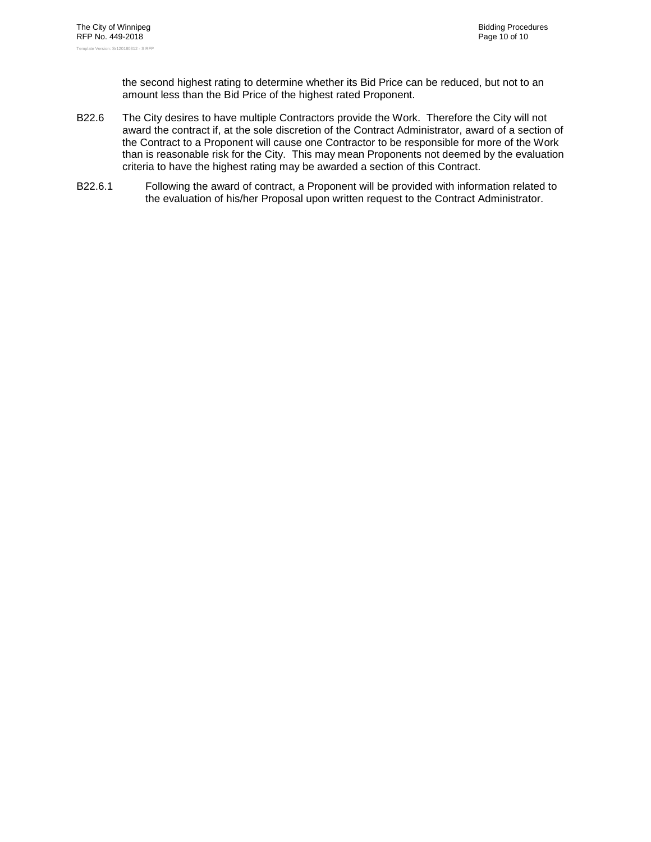the second highest rating to determine whether its Bid Price can be reduced, but not to an amount less than the Bid Price of the highest rated Proponent.

- B22.6 The City desires to have multiple Contractors provide the Work. Therefore the City will not award the contract if, at the sole discretion of the Contract Administrator, award of a section of the Contract to a Proponent will cause one Contractor to be responsible for more of the Work than is reasonable risk for the City. This may mean Proponents not deemed by the evaluation criteria to have the highest rating may be awarded a section of this Contract.
- B22.6.1 Following the award of contract, a Proponent will be provided with information related to the evaluation of his/her Proposal upon written request to the Contract Administrator.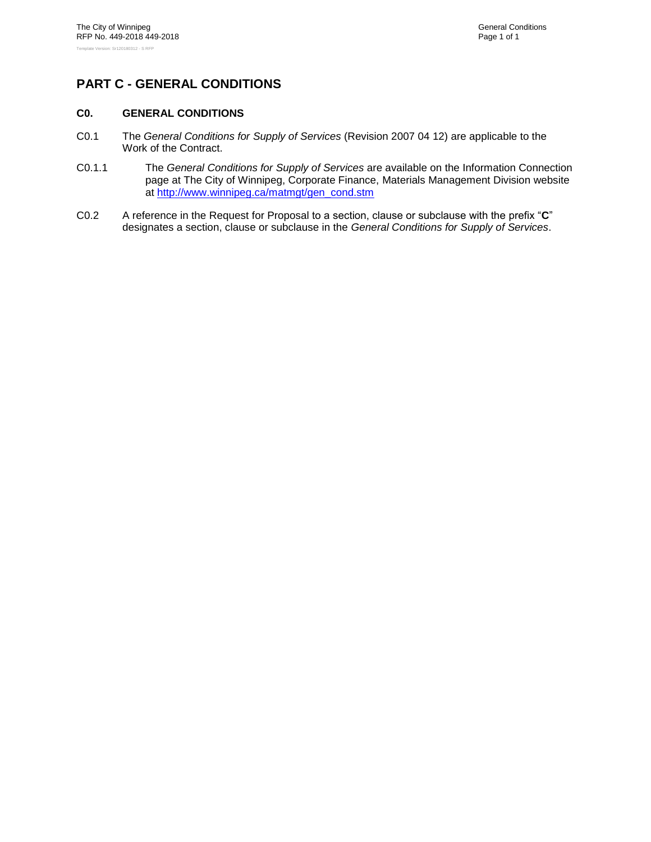# <span id="page-13-1"></span><span id="page-13-0"></span>**PART C - GENERAL CONDITIONS**

#### **C0. GENERAL CONDITIONS**

- <span id="page-13-2"></span>C0.1 The *General Conditions for Supply of Services* (Revision 2007 04 12) are applicable to the Work of the Contract.
- C0.1.1 The *General Conditions for Supply of Services* are available on the Information Connection page at The City of Winnipeg, Corporate Finance, Materials Management Division website at [http://www.winnipeg.ca/matmgt/gen\\_cond.stm](http://www.winnipeg.ca/matmgt/gen_cond.stm)
- C0.2 A reference in the Request for Proposal to a section, clause or subclause with the prefix "**C**" designates a section, clause or subclause in the *General Conditions for Supply of Services*.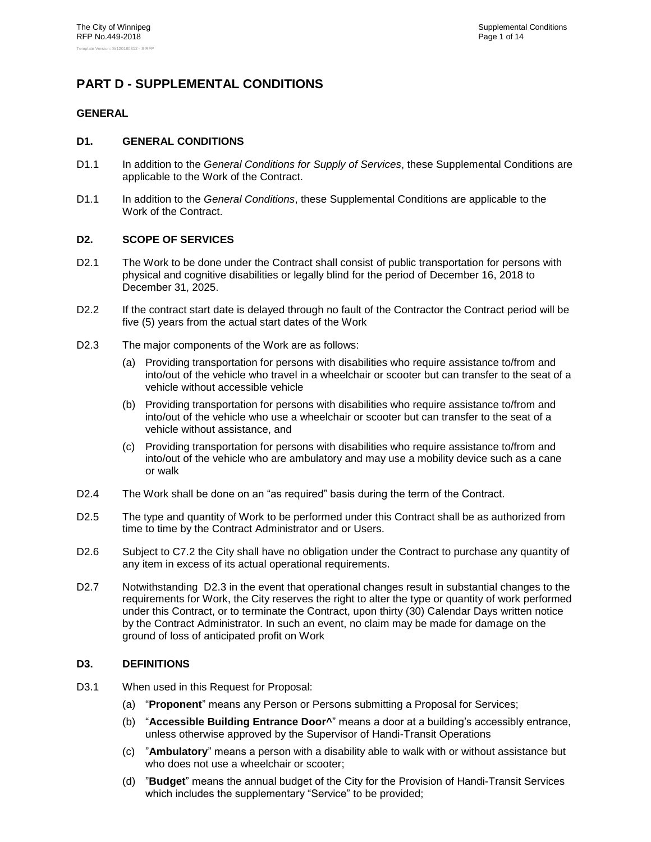# <span id="page-14-1"></span><span id="page-14-0"></span>**PART D - SUPPLEMENTAL CONDITIONS**

### <span id="page-14-2"></span>**GENERAL**

#### **D1. GENERAL CONDITIONS**

- D1.1 In addition to the *General Conditions for Supply of Services*, these Supplemental Conditions are applicable to the Work of the Contract.
- D1.1 In addition to the *General Conditions*, these Supplemental Conditions are applicable to the Work of the Contract.

#### <span id="page-14-3"></span>**D2. SCOPE OF SERVICES**

- D2.1 The Work to be done under the Contract shall consist of public transportation for persons with physical and cognitive disabilities or legally blind for the period of December 16, 2018 to December 31, 2025.
- D2.2 If the contract start date is delayed through no fault of the Contractor the Contract period will be five (5) years from the actual start dates of the Work
- <span id="page-14-5"></span>D2.3 The major components of the Work are as follows:
	- (a) Providing transportation for persons with disabilities who require assistance to/from and into/out of the vehicle who travel in a wheelchair or scooter but can transfer to the seat of a vehicle without accessible vehicle
	- (b) Providing transportation for persons with disabilities who require assistance to/from and into/out of the vehicle who use a wheelchair or scooter but can transfer to the seat of a vehicle without assistance, and
	- (c) Providing transportation for persons with disabilities who require assistance to/from and into/out of the vehicle who are ambulatory and may use a mobility device such as a cane or walk
- D2.4 The Work shall be done on an "as required" basis during the term of the Contract.
- D2.5 The type and quantity of Work to be performed under this Contract shall be as authorized from time to time by the Contract Administrator and or Users.
- D2.6 Subject to C7.2 the City shall have no obligation under the Contract to purchase any quantity of any item in excess of its actual operational requirements.
- D2.7 Notwithstanding [D2.3](#page-14-5) in the event that operational changes result in substantial changes to the requirements for Work, the City reserves the right to alter the type or quantity of work performed under this Contract, or to terminate the Contract, upon thirty (30) Calendar Days written notice by the Contract Administrator. In such an event, no claim may be made for damage on the ground of loss of anticipated profit on Work

#### <span id="page-14-4"></span>**D3. DEFINITIONS**

- D3.1 When used in this Request for Proposal:
	- (a) "**Proponent**" means any Person or Persons submitting a Proposal for Services;
	- (b) "**Accessible Building Entrance Door^**" means a door at a building's accessibly entrance, unless otherwise approved by the Supervisor of Handi-Transit Operations
	- (c) "**Ambulatory**" means a person with a disability able to walk with or without assistance but who does not use a wheelchair or scooter;
	- (d) "**Budget**" means the annual budget of the City for the Provision of Handi-Transit Services which includes the supplementary "Service" to be provided;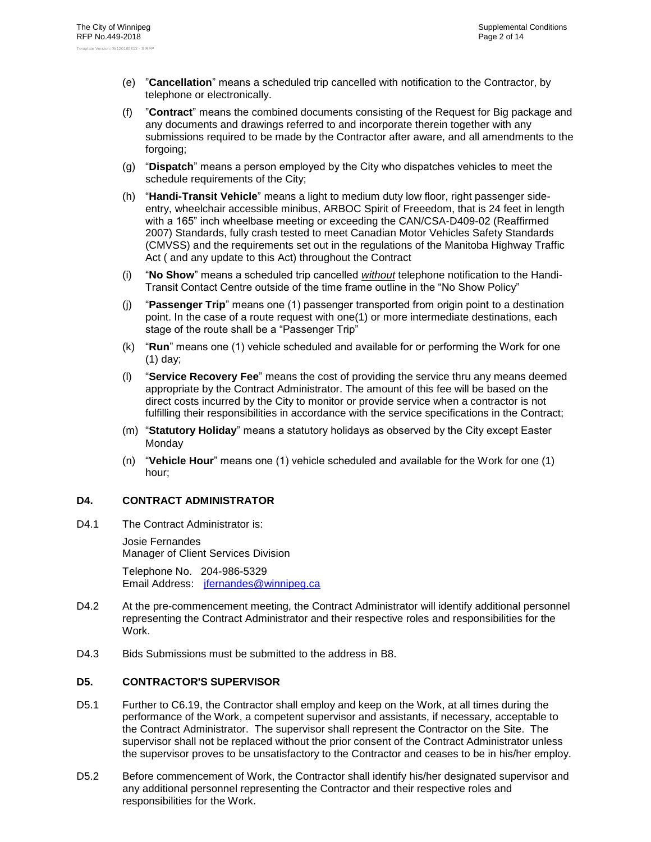- (e) "**Cancellation**" means a scheduled trip cancelled with notification to the Contractor, by telephone or electronically.
- (f) "**Contract**" means the combined documents consisting of the Request for Big package and any documents and drawings referred to and incorporate therein together with any submissions required to be made by the Contractor after aware, and all amendments to the forgoing;
- (g) "**Dispatch**" means a person employed by the City who dispatches vehicles to meet the schedule requirements of the City;
- (h) "**Handi-Transit Vehicle**" means a light to medium duty low floor, right passenger sideentry, wheelchair accessible minibus, ARBOC Spirit of Freeedom, that is 24 feet in length with a 165" inch wheelbase meeting or exceeding the CAN/CSA-D409-02 (Reaffirmed 2007) Standards, fully crash tested to meet Canadian Motor Vehicles Safety Standards (CMVSS) and the requirements set out in the regulations of the Manitoba Highway Traffic Act ( and any update to this Act) throughout the Contract
- (i) "**No Show**" means a scheduled trip cancelled *without* telephone notification to the Handi-Transit Contact Centre outside of the time frame outline in the "No Show Policy"
- (j) "**Passenger Trip**" means one (1) passenger transported from origin point to a destination point. In the case of a route request with one(1) or more intermediate destinations, each stage of the route shall be a "Passenger Trip"
- (k) "**Run**" means one (1) vehicle scheduled and available for or performing the Work for one (1) day;
- (l) "**Service Recovery Fee**" means the cost of providing the service thru any means deemed appropriate by the Contract Administrator. The amount of this fee will be based on the direct costs incurred by the City to monitor or provide service when a contractor is not fulfilling their responsibilities in accordance with the service specifications in the Contract;
- (m) "**Statutory Holiday**" means a statutory holidays as observed by the City except Easter **Mondav**
- (n) "**Vehicle Hour**" means one (1) vehicle scheduled and available for the Work for one (1) hour;

#### <span id="page-15-2"></span><span id="page-15-0"></span>**D4. CONTRACT ADMINISTRATOR**

D4.1 The Contract Administrator is:

Josie Fernandes Manager of Client Services Division

Telephone No. 204-986-5329 Email Address: [jfernandes@winnipeg.ca](mailto:jfernandes@winnipeg.ca)

- D4.2 At the pre-commencement meeting, the Contract Administrator will identify additional personnel representing the Contract Administrator and their respective roles and responsibilities for the Work.
- <span id="page-15-1"></span>D4.3 Bids Submissions must be submitted to the address in [B8.](#page-5-0)

#### **D5. CONTRACTOR'S SUPERVISOR**

- D5.1 Further to C6.19, the Contractor shall employ and keep on the Work, at all times during the performance of the Work, a competent supervisor and assistants, if necessary, acceptable to the Contract Administrator. The supervisor shall represent the Contractor on the Site. The supervisor shall not be replaced without the prior consent of the Contract Administrator unless the supervisor proves to be unsatisfactory to the Contractor and ceases to be in his/her employ.
- D5.2 Before commencement of Work, the Contractor shall identify his/her designated supervisor and any additional personnel representing the Contractor and their respective roles and responsibilities for the Work.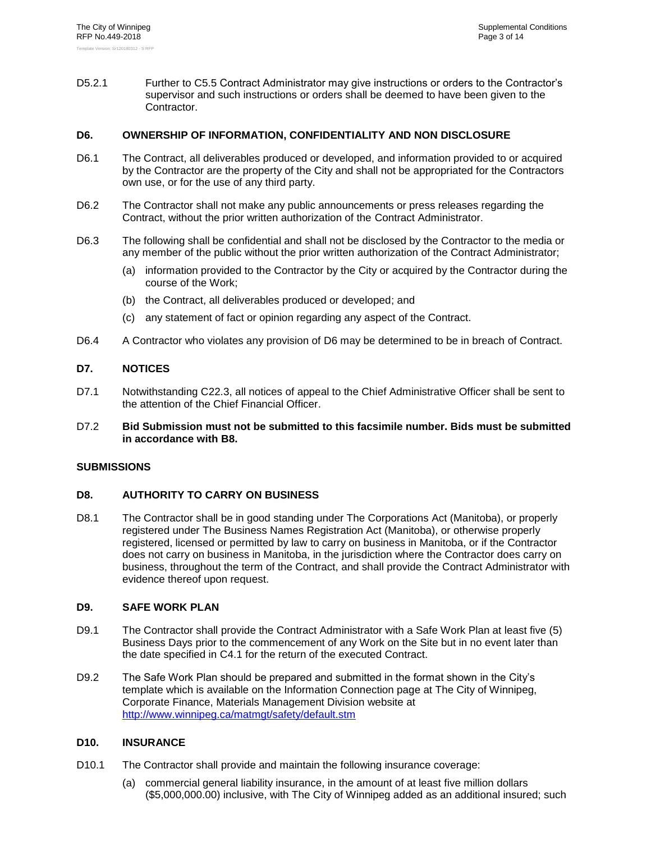D5.2.1 Further to C5.5 Contract Administrator may give instructions or orders to the Contractor's supervisor and such instructions or orders shall be deemed to have been given to the Contractor.

#### <span id="page-16-0"></span>**D6. OWNERSHIP OF INFORMATION, CONFIDENTIALITY AND NON DISCLOSURE**

- D6.1 The Contract, all deliverables produced or developed, and information provided to or acquired by the Contractor are the property of the City and shall not be appropriated for the Contractors own use, or for the use of any third party.
- D6.2 The Contractor shall not make any public announcements or press releases regarding the Contract, without the prior written authorization of the Contract Administrator.
- D6.3 The following shall be confidential and shall not be disclosed by the Contractor to the media or any member of the public without the prior written authorization of the Contract Administrator;
	- (a) information provided to the Contractor by the City or acquired by the Contractor during the course of the Work;
	- (b) the Contract, all deliverables produced or developed; and
	- (c) any statement of fact or opinion regarding any aspect of the Contract.
- <span id="page-16-1"></span>D6.4 A Contractor who violates any provision of [D6](#page-16-0) may be determined to be in breach of Contract.

#### **D7. NOTICES**

- D7.1 Notwithstanding C22.3, all notices of appeal to the Chief Administrative Officer shall be sent to the attention of the Chief Financial Officer.
- D7.2 **Bid Submission must not be submitted to this facsimile number. Bids must be submitted in accordance with [B8.](#page-5-0)**

#### <span id="page-16-3"></span><span id="page-16-2"></span>**SUBMISSIONS**

#### **D8. AUTHORITY TO CARRY ON BUSINESS**

D8.1 The Contractor shall be in good standing under The Corporations Act (Manitoba), or properly registered under The Business Names Registration Act (Manitoba), or otherwise properly registered, licensed or permitted by law to carry on business in Manitoba, or if the Contractor does not carry on business in Manitoba, in the jurisdiction where the Contractor does carry on business, throughout the term of the Contract, and shall provide the Contract Administrator with evidence thereof upon request.

#### <span id="page-16-4"></span>**D9. SAFE WORK PLAN**

- D9.1 The Contractor shall provide the Contract Administrator with a Safe Work Plan at least five (5) Business Days prior to the commencement of any Work on the Site but in no event later than the date specified in C4.1 for the return of the executed Contract.
- D9.2 The Safe Work Plan should be prepared and submitted in the format shown in the City's template which is available on the Information Connection page at The City of Winnipeg, Corporate Finance, Materials Management Division website at <http://www.winnipeg.ca/matmgt/safety/default.stm>

#### <span id="page-16-5"></span>**D10. INSURANCE**

- D10.1 The Contractor shall provide and maintain the following insurance coverage:
	- (a) commercial general liability insurance, in the amount of at least five million dollars (\$5,000,000.00) inclusive, with The City of Winnipeg added as an additional insured; such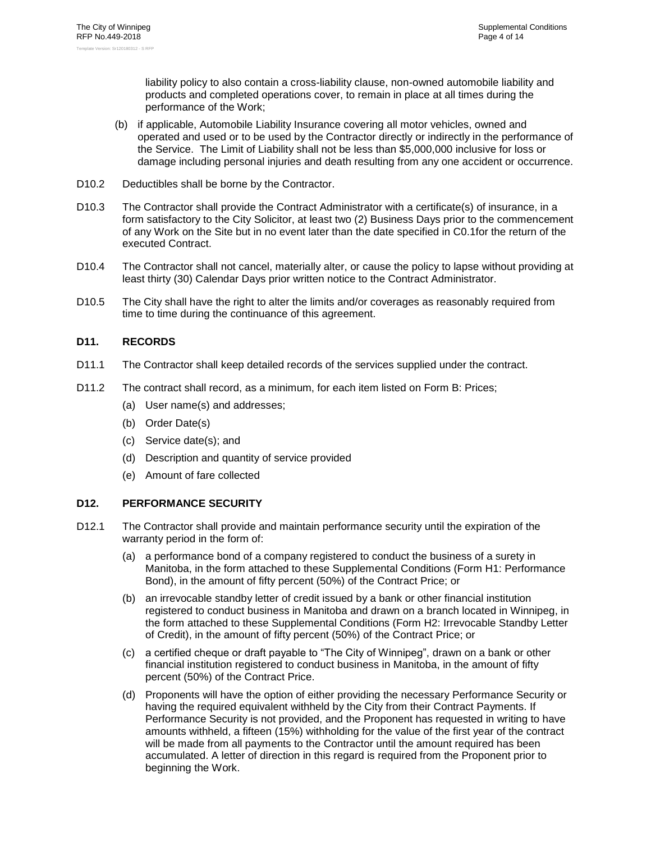liability policy to also contain a cross-liability clause, non-owned automobile liability and products and completed operations cover, to remain in place at all times during the performance of the Work;

- (b) if applicable, Automobile Liability Insurance covering all motor vehicles, owned and operated and used or to be used by the Contractor directly or indirectly in the performance of the Service. The Limit of Liability shall not be less than \$5,000,000 inclusive for loss or damage including personal injuries and death resulting from any one accident or occurrence.
- D10.2 Deductibles shall be borne by the Contractor.
- D10.3 The Contractor shall provide the Contract Administrator with a certificate(s) of insurance, in a form satisfactory to the City Solicitor, at least two (2) Business Days prior to the commencement of any Work on the Site but in no event later than the date specified in [C0.1f](#page-13-2)or the return of the executed Contract.
- D10.4 The Contractor shall not cancel, materially alter, or cause the policy to lapse without providing at least thirty (30) Calendar Days prior written notice to the Contract Administrator.
- D10.5 The City shall have the right to alter the limits and/or coverages as reasonably required from time to time during the continuance of this agreement.

#### <span id="page-17-0"></span>**D11. RECORDS**

- D11.1 The Contractor shall keep detailed records of the services supplied under the contract.
- D11.2 The contract shall record, as a minimum, for each item listed on Form B: Prices;
	- (a) User name(s) and addresses;
	- (b) Order Date(s)
	- (c) Service date(s); and
	- (d) Description and quantity of service provided
	- (e) Amount of fare collected

#### <span id="page-17-1"></span>**D12. PERFORMANCE SECURITY**

- D12.1 The Contractor shall provide and maintain performance security until the expiration of the warranty period in the form of:
	- (a) a performance bond of a company registered to conduct the business of a surety in Manitoba, in the form attached to these Supplemental Conditions (Form H1: Performance Bond), in the amount of fifty percent (50%) of the Contract Price; or
	- (b) an irrevocable standby letter of credit issued by a bank or other financial institution registered to conduct business in Manitoba and drawn on a branch located in Winnipeg, in the form attached to these Supplemental Conditions (Form H2: Irrevocable Standby Letter of Credit), in the amount of fifty percent (50%) of the Contract Price; or
	- (c) a certified cheque or draft payable to "The City of Winnipeg", drawn on a bank or other financial institution registered to conduct business in Manitoba, in the amount of fifty percent (50%) of the Contract Price.
	- (d) Proponents will have the option of either providing the necessary Performance Security or having the required equivalent withheld by the City from their Contract Payments. If Performance Security is not provided, and the Proponent has requested in writing to have amounts withheld, a fifteen (15%) withholding for the value of the first year of the contract will be made from all payments to the Contractor until the amount required has been accumulated. A letter of direction in this regard is required from the Proponent prior to beginning the Work.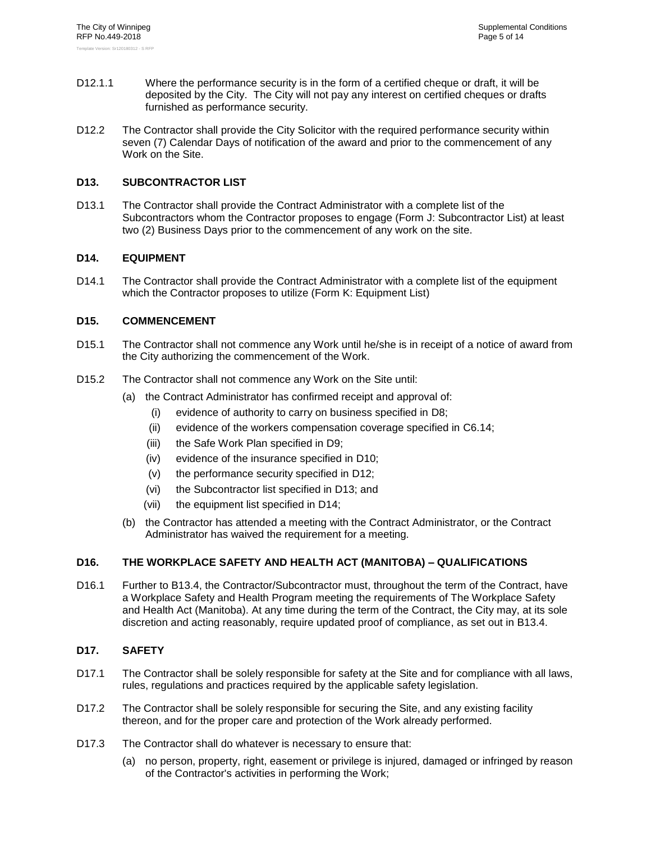- D12.1.1 Where the performance security is in the form of a certified cheque or draft, it will be deposited by the City. The City will not pay any interest on certified cheques or drafts furnished as performance security.
- D12.2 The Contractor shall provide the City Solicitor with the required performance security within seven (7) Calendar Days of notification of the award and prior to the commencement of any Work on the Site.

#### <span id="page-18-0"></span>**D13. SUBCONTRACTOR LIST**

D13.1 The Contractor shall provide the Contract Administrator with a complete list of the Subcontractors whom the Contractor proposes to engage (Form J: Subcontractor List) at least two (2) Business Days prior to the commencement of any work on the site.

#### <span id="page-18-1"></span>**D14. EQUIPMENT**

D14.1 The Contractor shall provide the Contract Administrator with a complete list of the equipment which the Contractor proposes to utilize (Form K: Equipment List)

#### <span id="page-18-2"></span>**D15. COMMENCEMENT**

- D15.1 The Contractor shall not commence any Work until he/she is in receipt of a notice of award from the City authorizing the commencement of the Work.
- D15.2 The Contractor shall not commence any Work on the Site until:
	- (a) the Contract Administrator has confirmed receipt and approval of:
		- (i) evidence of authority to carry on business specified in [D8;](#page-16-3)
		- (ii) evidence of the workers compensation coverage specified in C6.14;
		- (iii) the Safe Work Plan specified in [D9;](#page-16-4)
		- (iv) evidence of the insurance specified in [D10;](#page-16-5)
		- (v) the performance security specified in [D12;](#page-17-1)
		- (vi) the Subcontractor list specified in [D13;](#page-18-0) and
		- (vii) the equipment list specified in [D14;](#page-18-1)
	- (b) the Contractor has attended a meeting with the Contract Administrator, or the Contract Administrator has waived the requirement for a meeting.

#### <span id="page-18-3"></span>**D16. THE WORKPLACE SAFETY AND HEALTH ACT (MANITOBA) – QUALIFICATIONS**

D16.1 Further to [B13.4,](#page-8-2) the Contractor/Subcontractor must, throughout the term of the Contract, have a Workplace Safety and Health Program meeting the requirements of The Workplace Safety and Health Act (Manitoba). At any time during the term of the Contract, the City may, at its sole discretion and acting reasonably, require updated proof of compliance, as set out in [B13.4.](#page-8-2)

#### <span id="page-18-4"></span>**D17. SAFETY**

- D17.1 The Contractor shall be solely responsible for safety at the Site and for compliance with all laws, rules, regulations and practices required by the applicable safety legislation.
- D17.2 The Contractor shall be solely responsible for securing the Site, and any existing facility thereon, and for the proper care and protection of the Work already performed.
- D17.3 The Contractor shall do whatever is necessary to ensure that:
	- (a) no person, property, right, easement or privilege is injured, damaged or infringed by reason of the Contractor's activities in performing the Work;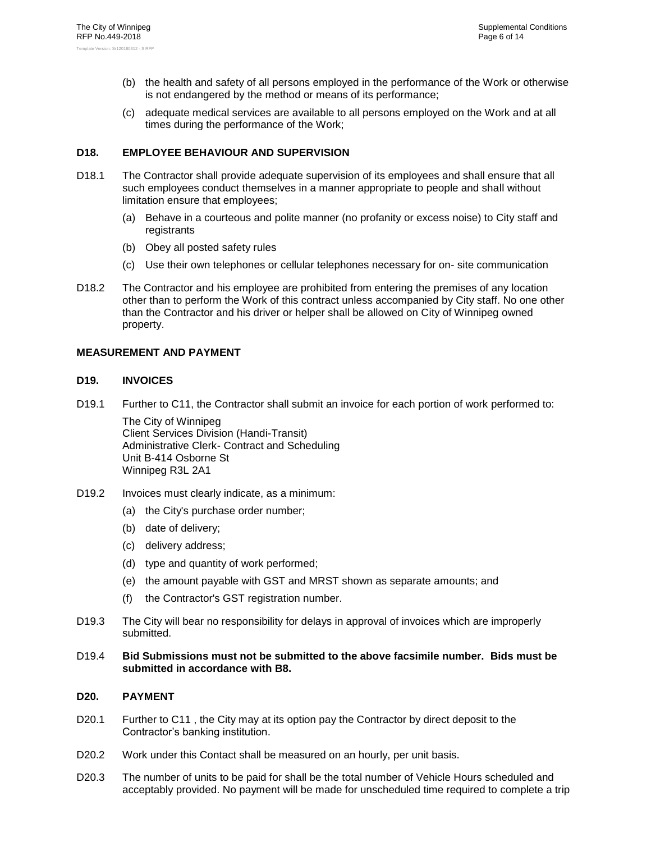- (b) the health and safety of all persons employed in the performance of the Work or otherwise is not endangered by the method or means of its performance;
- (c) adequate medical services are available to all persons employed on the Work and at all times during the performance of the Work;

#### <span id="page-19-0"></span>**D18. EMPLOYEE BEHAVIOUR AND SUPERVISION**

- D18.1 The Contractor shall provide adequate supervision of its employees and shall ensure that all such employees conduct themselves in a manner appropriate to people and shall without limitation ensure that employees;
	- (a) Behave in a courteous and polite manner (no profanity or excess noise) to City staff and registrants
	- (b) Obey all posted safety rules
	- (c) Use their own telephones or cellular telephones necessary for on- site communication
- D18.2 The Contractor and his employee are prohibited from entering the premises of any location other than to perform the Work of this contract unless accompanied by City staff. No one other than the Contractor and his driver or helper shall be allowed on City of Winnipeg owned property.

#### <span id="page-19-2"></span><span id="page-19-1"></span>**MEASUREMENT AND PAYMENT**

#### **D19. INVOICES**

D19.1 Further to C11, the Contractor shall submit an invoice for each portion of work performed to:

The City of Winnipeg Client Services Division (Handi-Transit) Administrative Clerk- Contract and Scheduling Unit B-414 Osborne St Winnipeg R3L 2A1

- D19.2 Invoices must clearly indicate, as a minimum:
	- (a) the City's purchase order number;
	- (b) date of delivery;
	- (c) delivery address;
	- (d) type and quantity of work performed;
	- (e) the amount payable with GST and MRST shown as separate amounts; and
	- (f) the Contractor's GST registration number.
- D19.3 The City will bear no responsibility for delays in approval of invoices which are improperly submitted.
- D19.4 **Bid Submissions must not be submitted to the above facsimile number. Bids must be submitted in accordance with [B8.](#page-5-0)**

#### <span id="page-19-3"></span>**D20. PAYMENT**

- D20.1 Further to C11, the City may at its option pay the Contractor by direct deposit to the Contractor's banking institution.
- D20.2 Work under this Contact shall be measured on an hourly, per unit basis.
- D20.3 The number of units to be paid for shall be the total number of Vehicle Hours scheduled and acceptably provided. No payment will be made for unscheduled time required to complete a trip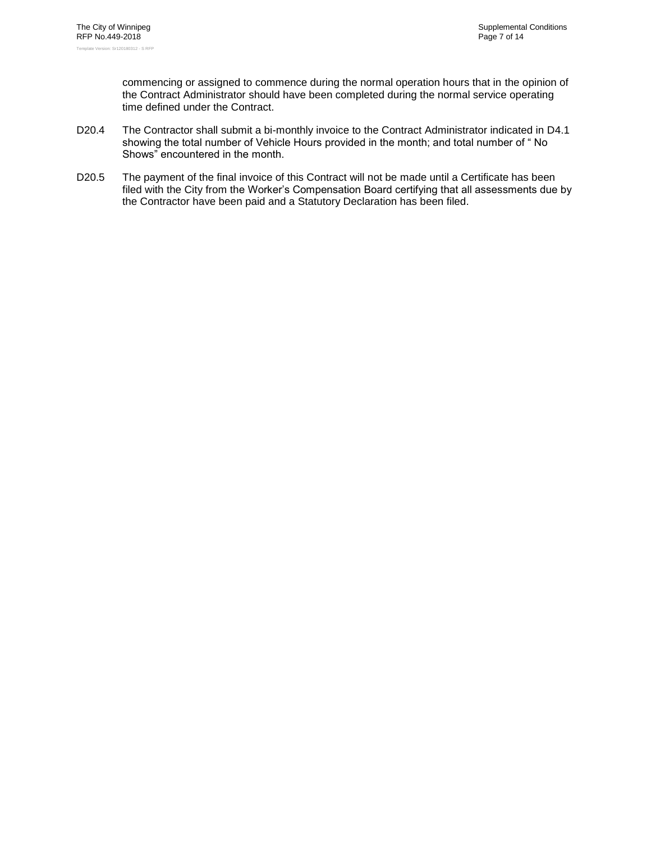commencing or assigned to commence during the normal operation hours that in the opinion of the Contract Administrator should have been completed during the normal service operating time defined under the Contract.

- D20.4 The Contractor shall submit a bi-monthly invoice to the Contract Administrator indicated in [D4.1](#page-15-2) showing the total number of Vehicle Hours provided in the month; and total number of " No Shows" encountered in the month.
- D20.5 The payment of the final invoice of this Contract will not be made until a Certificate has been filed with the City from the Worker's Compensation Board certifying that all assessments due by the Contractor have been paid and a Statutory Declaration has been filed.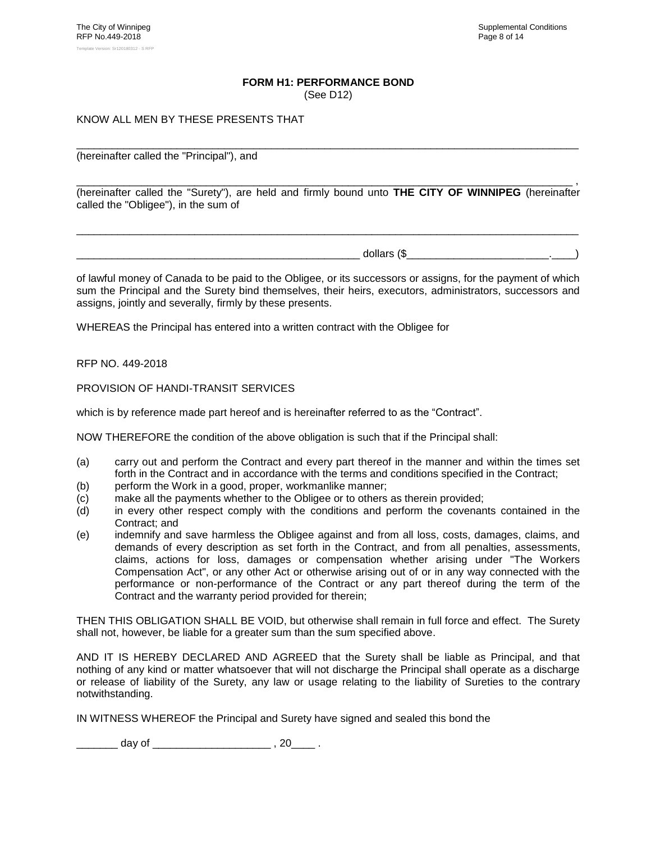#### **FORM H1: PERFORMANCE BOND**

(See [D12\)](#page-17-1)

#### <span id="page-21-0"></span>KNOW ALL MEN BY THESE PRESENTS THAT

(hereinafter called the "Principal"), and

\_\_\_\_\_\_\_\_\_\_\_\_\_\_\_\_\_\_\_\_\_\_\_\_\_\_\_\_\_\_\_\_\_\_\_\_\_\_\_\_\_\_\_\_\_\_\_\_\_\_\_\_\_\_\_\_\_\_\_\_\_\_\_\_\_\_\_\_\_\_\_\_\_\_\_\_\_\_\_\_\_\_\_\_ , (hereinafter called the "Surety"), are held and firmly bound unto **THE CITY OF WINNIPEG** (hereinafter called the "Obligee"), in the sum of

\_\_\_\_\_\_\_\_\_\_\_\_\_\_\_\_\_\_\_\_\_\_\_\_\_\_\_\_\_\_\_\_\_\_\_\_\_\_\_\_\_\_\_\_\_\_\_\_\_\_\_\_\_\_\_\_\_\_\_\_\_\_\_\_\_\_\_\_\_\_\_\_\_\_\_\_\_\_\_\_\_\_\_\_\_

\_\_\_\_\_\_\_\_\_\_\_\_\_\_\_\_\_\_\_\_\_\_\_\_\_\_\_\_\_\_\_\_\_\_\_\_\_\_\_\_\_\_\_\_\_\_\_\_\_\_\_\_\_\_\_\_\_\_\_\_\_\_\_\_\_\_\_\_\_\_\_\_\_\_\_\_\_\_\_\_\_\_\_\_\_

 $\Delta$  dollars (\$ $\Delta$ 

of lawful money of Canada to be paid to the Obligee, or its successors or assigns, for the payment of which sum the Principal and the Surety bind themselves, their heirs, executors, administrators, successors and assigns, jointly and severally, firmly by these presents.

WHEREAS the Principal has entered into a written contract with the Obligee for

#### RFP NO. [449-2018](#page-0-0)

PROVISION OF HANDI-TRANSIT SERVICES

which is by reference made part hereof and is hereinafter referred to as the "Contract".

NOW THEREFORE the condition of the above obligation is such that if the Principal shall:

- (a) carry out and perform the Contract and every part thereof in the manner and within the times set forth in the Contract and in accordance with the terms and conditions specified in the Contract;
- (b) perform the Work in a good, proper, workmanlike manner;
- (c) make all the payments whether to the Obligee or to others as therein provided;
- (d) in every other respect comply with the conditions and perform the covenants contained in the Contract; and
- (e) indemnify and save harmless the Obligee against and from all loss, costs, damages, claims, and demands of every description as set forth in the Contract, and from all penalties, assessments, claims, actions for loss, damages or compensation whether arising under "The Workers Compensation Act", or any other Act or otherwise arising out of or in any way connected with the performance or non-performance of the Contract or any part thereof during the term of the Contract and the warranty period provided for therein;

THEN THIS OBLIGATION SHALL BE VOID, but otherwise shall remain in full force and effect. The Surety shall not, however, be liable for a greater sum than the sum specified above.

AND IT IS HEREBY DECLARED AND AGREED that the Surety shall be liable as Principal, and that nothing of any kind or matter whatsoever that will not discharge the Principal shall operate as a discharge or release of liability of the Surety, any law or usage relating to the liability of Sureties to the contrary notwithstanding.

IN WITNESS WHEREOF the Principal and Surety have signed and sealed this bond the

 $\frac{1}{2}$  day of  $\frac{1}{2}$  , 20  $\frac{1}{2}$  .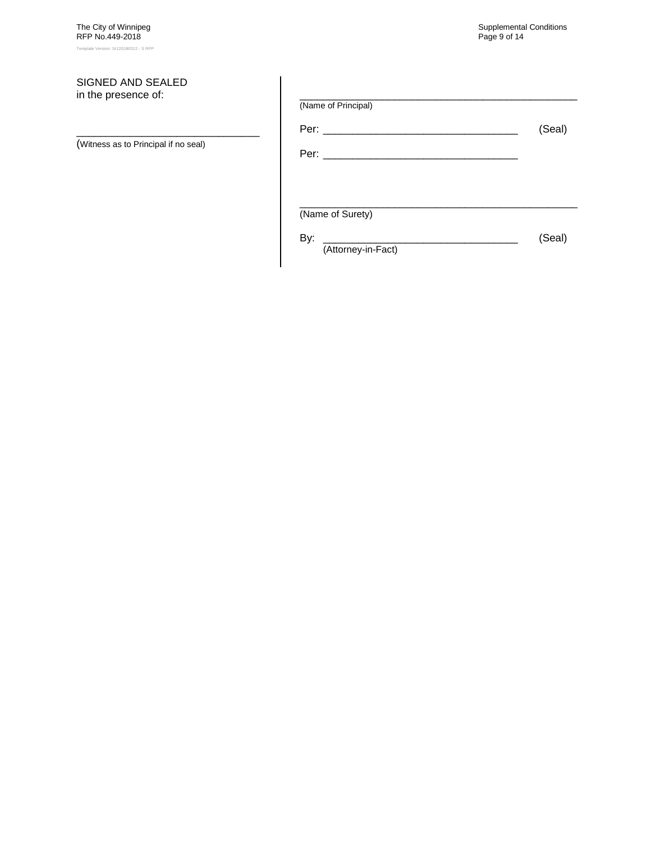#### SIGNED AND SEALED in the presence of:

(Witness as to Principal if no seal)

\_\_\_\_\_\_\_\_\_\_\_\_\_\_\_\_\_\_\_\_\_\_\_\_\_\_\_\_\_\_\_

| (Name of Principal)       |        |
|---------------------------|--------|
|                           | (Seal) |
|                           |        |
|                           |        |
| (Name of Surety)          |        |
| By:<br>(Attorney-in-Fact) | (Seal) |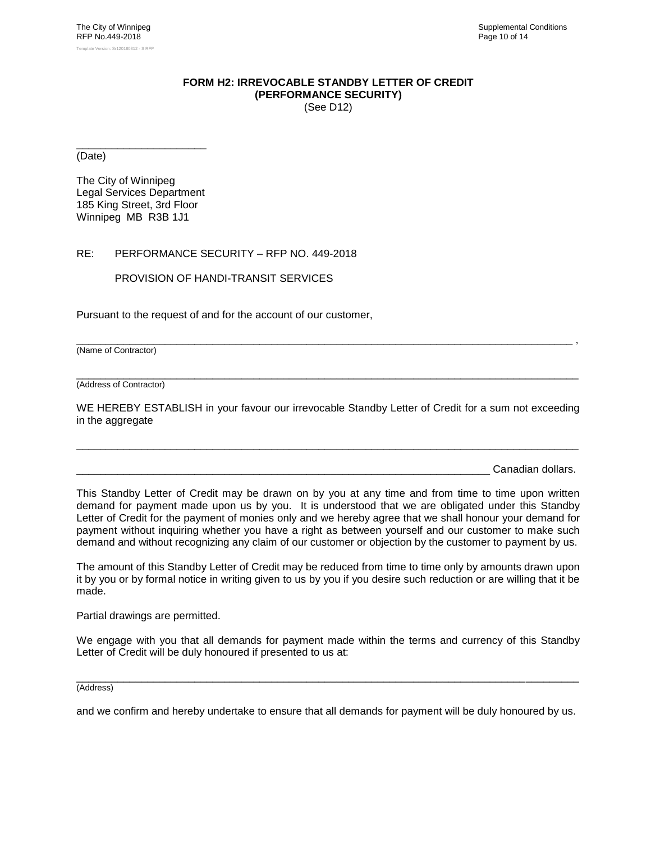#### **FORM H2: IRREVOCABLE STANDBY LETTER OF CREDIT (PERFORMANCE SECURITY)** (See [D12\)](#page-17-1)

<span id="page-23-0"></span>\_\_\_\_\_\_\_\_\_\_\_\_\_\_\_\_\_\_\_\_\_\_ (Date)

The City of Winnipeg Legal Services Department 185 King Street, 3rd Floor Winnipeg MB R3B 1J1

#### RE: PERFORMANCE SECURITY – RFP NO. [449-2018](#page-0-0)

PROVISION OF HANDI-TRANSIT SERVICES

Pursuant to the request of and for the account of our customer,

(Name of Contractor)

\_\_\_\_\_\_\_\_\_\_\_\_\_\_\_\_\_\_\_\_\_\_\_\_\_\_\_\_\_\_\_\_\_\_\_\_\_\_\_\_\_\_\_\_\_\_\_\_\_\_\_\_\_\_\_\_\_\_\_\_\_\_\_\_\_\_\_\_\_\_\_\_\_\_\_\_\_\_\_\_\_\_\_\_\_ (Address of Contractor)

WE HEREBY ESTABLISH in your favour our irrevocable Standby Letter of Credit for a sum not exceeding in the aggregate

\_\_\_\_\_\_\_\_\_\_\_\_\_\_\_\_\_\_\_\_\_\_\_\_\_\_\_\_\_\_\_\_\_\_\_\_\_\_\_\_\_\_\_\_\_\_\_\_\_\_\_\_\_\_\_\_\_\_\_\_\_\_\_\_\_\_\_\_\_\_\_\_\_\_\_\_\_\_\_\_\_\_\_\_\_

\_\_\_\_\_\_\_\_\_\_\_\_\_\_\_\_\_\_\_\_\_\_\_\_\_\_\_\_\_\_\_\_\_\_\_\_\_\_\_\_\_\_\_\_\_\_\_\_\_\_\_\_\_\_\_\_\_\_\_\_\_\_\_\_\_\_\_\_\_\_\_\_\_\_\_\_\_\_\_\_\_\_\_\_ ,

Canadian dollars.

This Standby Letter of Credit may be drawn on by you at any time and from time to time upon written demand for payment made upon us by you. It is understood that we are obligated under this Standby Letter of Credit for the payment of monies only and we hereby agree that we shall honour your demand for payment without inquiring whether you have a right as between yourself and our customer to make such demand and without recognizing any claim of our customer or objection by the customer to payment by us.

The amount of this Standby Letter of Credit may be reduced from time to time only by amounts drawn upon it by you or by formal notice in writing given to us by you if you desire such reduction or are willing that it be made.

Partial drawings are permitted.

We engage with you that all demands for payment made within the terms and currency of this Standby Letter of Credit will be duly honoured if presented to us at:

\_\_\_\_\_\_\_\_\_\_\_\_\_\_\_\_\_\_\_\_\_\_\_\_\_\_\_\_\_\_\_\_\_\_\_\_\_\_\_\_\_\_\_\_\_\_\_\_\_\_\_\_\_\_\_\_\_\_\_\_\_\_\_\_\_\_\_\_\_\_\_\_\_\_\_\_\_\_\_\_\_\_\_\_\_ (Address)

and we confirm and hereby undertake to ensure that all demands for payment will be duly honoured by us.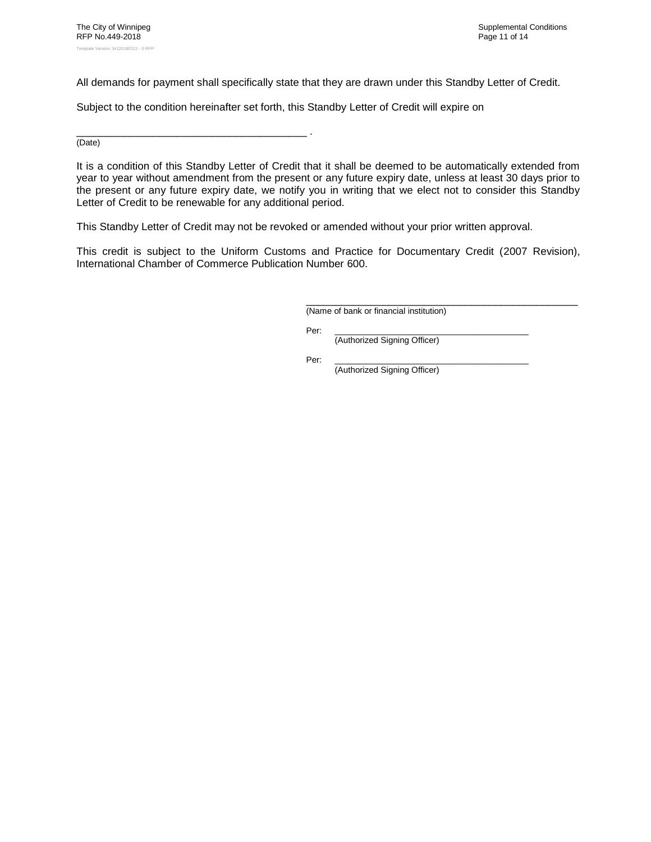All demands for payment shall specifically state that they are drawn under this Standby Letter of Credit.

Subject to the condition hereinafter set forth, this Standby Letter of Credit will expire on

\_\_\_\_\_\_\_\_\_\_\_\_\_\_\_\_\_\_\_\_\_\_\_\_\_\_\_\_\_\_\_\_\_\_\_\_\_\_\_ . (Date)

It is a condition of this Standby Letter of Credit that it shall be deemed to be automatically extended from year to year without amendment from the present or any future expiry date, unless at least 30 days prior to the present or any future expiry date, we notify you in writing that we elect not to consider this Standby Letter of Credit to be renewable for any additional period.

This Standby Letter of Credit may not be revoked or amended without your prior written approval.

This credit is subject to the Uniform Customs and Practice for Documentary Credit (2007 Revision), International Chamber of Commerce Publication Number 600.

> \_\_\_\_\_\_\_\_\_\_\_\_\_\_\_\_\_\_\_\_\_\_\_\_\_\_\_\_\_\_\_\_\_\_\_\_\_\_\_\_\_\_\_\_\_\_ (Name of bank or financial institution)

Per: \_\_\_\_\_\_\_\_\_\_\_\_\_\_\_\_\_\_\_\_\_\_\_\_\_\_\_\_\_\_\_\_\_\_\_\_\_\_\_\_\_

(Authorized Signing Officer)

Per: \_\_\_\_\_\_\_\_\_\_\_\_\_\_\_\_\_\_\_\_\_\_\_\_\_\_\_\_\_\_\_\_\_\_\_\_\_\_\_\_\_ (Authorized Signing Officer)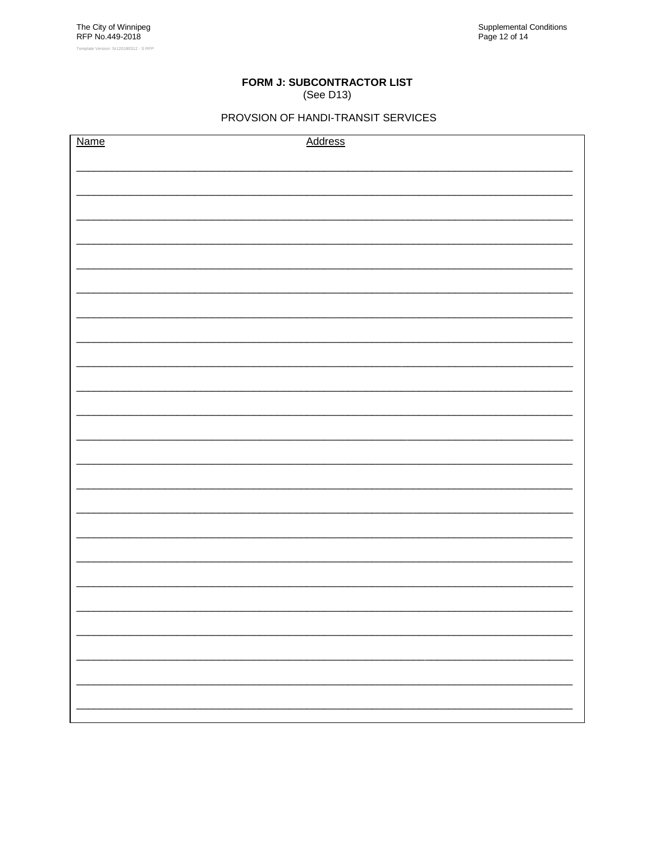#### FORM J: SUBCONTRACTOR LIST (See D13)

## PROVSION OF HANDI-TRANSIT SERVICES

<span id="page-25-0"></span>

| Name | <b>Address</b> |
|------|----------------|
|      |                |
|      |                |
|      |                |
|      |                |
|      |                |
|      |                |
|      |                |
|      |                |
|      |                |
|      |                |
|      |                |
|      |                |
|      |                |
|      |                |
|      |                |
|      |                |
|      |                |
|      |                |
|      |                |
|      |                |
|      |                |
|      |                |
|      |                |
|      |                |
|      |                |
|      |                |
|      |                |
|      |                |
|      |                |
|      |                |
|      |                |
|      |                |
|      |                |
|      |                |
|      |                |
|      |                |
|      |                |
|      |                |
|      |                |
|      |                |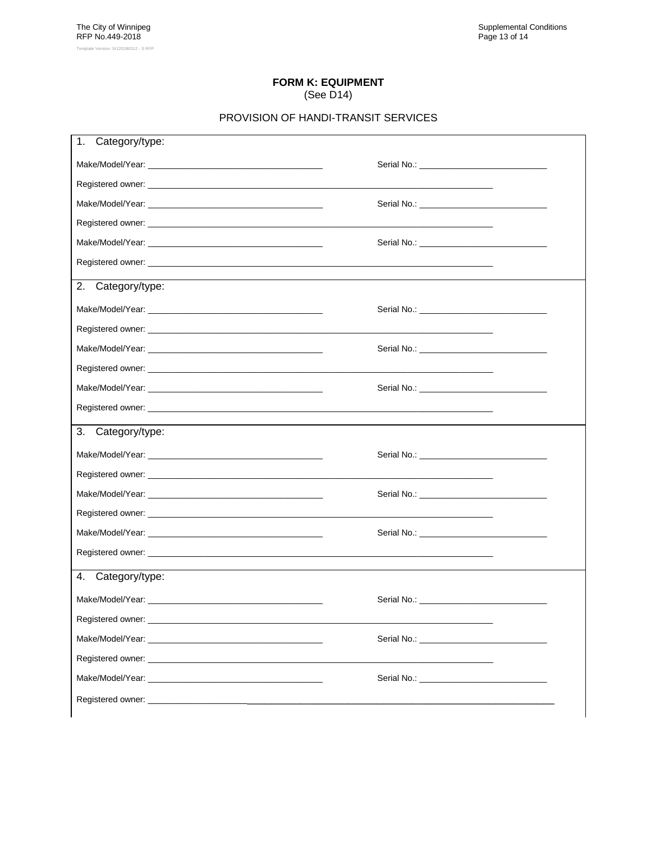#### **FORM K: EQUIPMENT** (See D14)

## PROVISION OF HANDI-TRANSIT SERVICES

<span id="page-26-0"></span>

| 1.<br>Category/type:                                                                                                                                                                                                           |  |
|--------------------------------------------------------------------------------------------------------------------------------------------------------------------------------------------------------------------------------|--|
|                                                                                                                                                                                                                                |  |
|                                                                                                                                                                                                                                |  |
|                                                                                                                                                                                                                                |  |
|                                                                                                                                                                                                                                |  |
|                                                                                                                                                                                                                                |  |
|                                                                                                                                                                                                                                |  |
| $\overline{2}$ . Category/type:                                                                                                                                                                                                |  |
|                                                                                                                                                                                                                                |  |
|                                                                                                                                                                                                                                |  |
|                                                                                                                                                                                                                                |  |
|                                                                                                                                                                                                                                |  |
|                                                                                                                                                                                                                                |  |
|                                                                                                                                                                                                                                |  |
| 3.<br>Category/type:                                                                                                                                                                                                           |  |
|                                                                                                                                                                                                                                |  |
|                                                                                                                                                                                                                                |  |
|                                                                                                                                                                                                                                |  |
|                                                                                                                                                                                                                                |  |
|                                                                                                                                                                                                                                |  |
|                                                                                                                                                                                                                                |  |
| 4. Category/type:                                                                                                                                                                                                              |  |
|                                                                                                                                                                                                                                |  |
|                                                                                                                                                                                                                                |  |
| Make/Model/Year: Website the Contract of the Contract of the Contract of the Contract of the Contract of the Contract of the Contract of the Contract of the Contract of the Contract of the Contract of the Contract of the C |  |
|                                                                                                                                                                                                                                |  |
|                                                                                                                                                                                                                                |  |
| Registered owner: experience and a series of the series of the series of the series of the series of the series of the series of the series of the series of the series of the series of the series of the series of the serie |  |
|                                                                                                                                                                                                                                |  |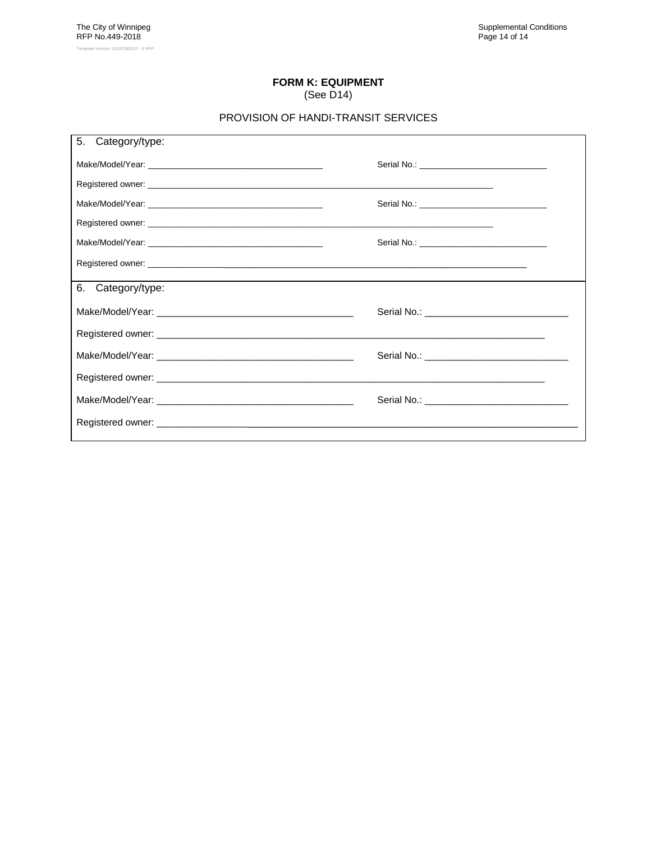#### **FORM K: EQUIPMENT** (See [D14\)](#page-18-1)

#### PROVISION OF HANDI-TRANSIT SERVICES

| 5.<br>Category/type: |  |
|----------------------|--|
|                      |  |
|                      |  |
|                      |  |
|                      |  |
|                      |  |
|                      |  |
| 6.<br>Category/type: |  |
|                      |  |
|                      |  |
|                      |  |
|                      |  |
|                      |  |
|                      |  |
|                      |  |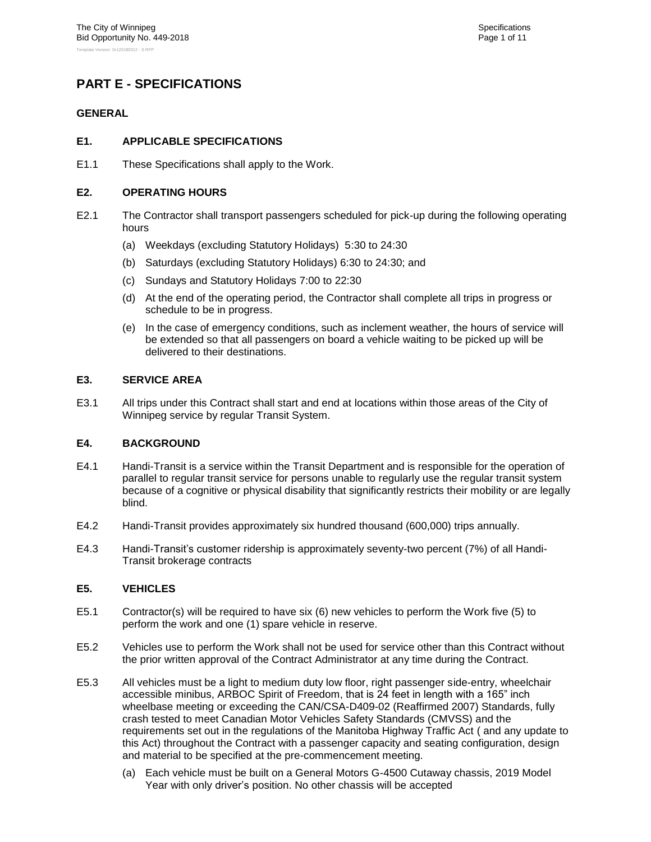# <span id="page-28-1"></span><span id="page-28-0"></span>**PART E - SPECIFICATIONS**

#### <span id="page-28-2"></span>**GENERAL**

#### **E1. APPLICABLE SPECIFICATIONS**

<span id="page-28-3"></span>E1.1 These Specifications shall apply to the Work.

#### **E2. OPERATING HOURS**

- E2.1 The Contractor shall transport passengers scheduled for pick-up during the following operating hours
	- (a) Weekdays (excluding Statutory Holidays) 5:30 to 24:30
	- (b) Saturdays (excluding Statutory Holidays) 6:30 to 24:30; and
	- (c) Sundays and Statutory Holidays 7:00 to 22:30
	- (d) At the end of the operating period, the Contractor shall complete all trips in progress or schedule to be in progress.
	- (e) In the case of emergency conditions, such as inclement weather, the hours of service will be extended so that all passengers on board a vehicle waiting to be picked up will be delivered to their destinations.

#### <span id="page-28-4"></span>**E3. SERVICE AREA**

E3.1 All trips under this Contract shall start and end at locations within those areas of the City of Winnipeg service by regular Transit System.

#### <span id="page-28-5"></span>**E4. BACKGROUND**

- E4.1 Handi-Transit is a service within the Transit Department and is responsible for the operation of parallel to regular transit service for persons unable to regularly use the regular transit system because of a cognitive or physical disability that significantly restricts their mobility or are legally blind.
- E4.2 Handi-Transit provides approximately six hundred thousand (600,000) trips annually.
- E4.3 Handi-Transit's customer ridership is approximately seventy-two percent (7%) of all Handi-Transit brokerage contracts

#### <span id="page-28-6"></span>**E5. VEHICLES**

- E5.1 Contractor(s) will be required to have six (6) new vehicles to perform the Work five (5) to perform the work and one (1) spare vehicle in reserve.
- E5.2 Vehicles use to perform the Work shall not be used for service other than this Contract without the prior written approval of the Contract Administrator at any time during the Contract.
- E5.3 All vehicles must be a light to medium duty low floor, right passenger side-entry, wheelchair accessible minibus, ARBOC Spirit of Freedom, that is 24 feet in length with a 165" inch wheelbase meeting or exceeding the CAN/CSA-D409-02 (Reaffirmed 2007) Standards, fully crash tested to meet Canadian Motor Vehicles Safety Standards (CMVSS) and the requirements set out in the regulations of the Manitoba Highway Traffic Act ( and any update to this Act) throughout the Contract with a passenger capacity and seating configuration, design and material to be specified at the pre-commencement meeting.
	- (a) Each vehicle must be built on a General Motors G-4500 Cutaway chassis, 2019 Model Year with only driver's position. No other chassis will be accepted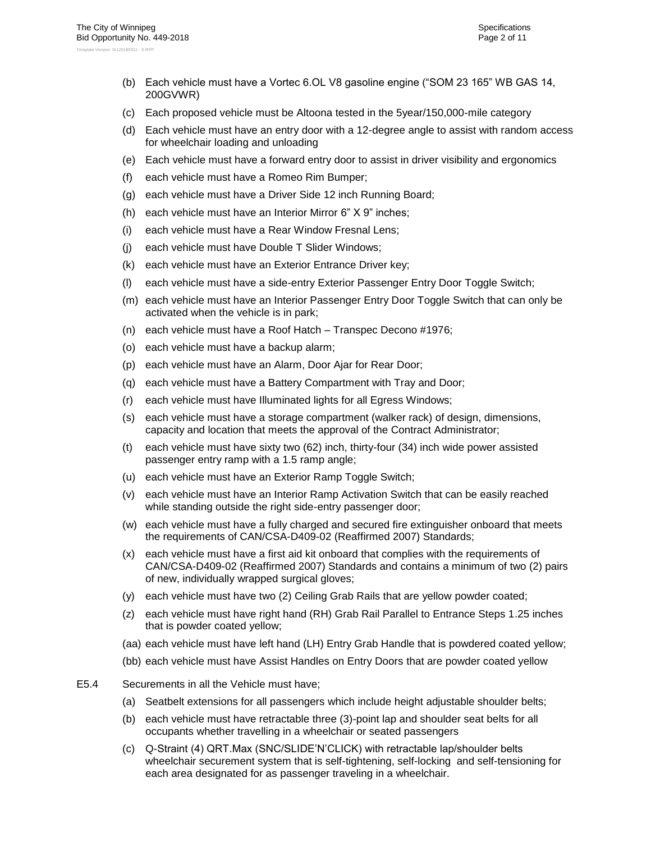- (b) Each vehicle must have a Vortec 6.OL V8 gasoline engine ("SOM 23 165" WB GAS 14, 200GVWR)
- (c) Each proposed vehicle must be Altoona tested in the 5year/150,000-mile category
- (d) Each vehicle must have an entry door with a 12-degree angle to assist with random access for wheelchair loading and unloading
- (e) Each vehicle must have a forward entry door to assist in driver visibility and ergonomics
- (f) each vehicle must have a Romeo Rim Bumper;
- (g) each vehicle must have a Driver Side 12 inch Running Board;
- (h) each vehicle must have an Interior Mirror 6" X 9" inches;
- (i) each vehicle must have a Rear Window Fresnal Lens;
- (j) each vehicle must have Double T Slider Windows;
- (k) each vehicle must have an Exterior Entrance Driver key;
- (l) each vehicle must have a side-entry Exterior Passenger Entry Door Toggle Switch;
- (m) each vehicle must have an Interior Passenger Entry Door Toggle Switch that can only be activated when the vehicle is in park;
- (n) each vehicle must have a Roof Hatch Transpec Decono #1976;
- (o) each vehicle must have a backup alarm;
- (p) each vehicle must have an Alarm, Door Ajar for Rear Door;
- (q) each vehicle must have a Battery Compartment with Tray and Door;
- (r) each vehicle must have Illuminated lights for all Egress Windows;
- (s) each vehicle must have a storage compartment (walker rack) of design, dimensions, capacity and location that meets the approval of the Contract Administrator;
- (t) each vehicle must have sixty two (62) inch, thirty-four (34) inch wide power assisted passenger entry ramp with a 1.5 ramp angle;
- (u) each vehicle must have an Exterior Ramp Toggle Switch;
- (v) each vehicle must have an Interior Ramp Activation Switch that can be easily reached while standing outside the right side-entry passenger door;
- (w) each vehicle must have a fully charged and secured fire extinguisher onboard that meets the requirements of CAN/CSA-D409-02 (Reaffirmed 2007) Standards;
- (x) each vehicle must have a first aid kit onboard that complies with the requirements of CAN/CSA-D409-02 (Reaffirmed 2007) Standards and contains a minimum of two (2) pairs of new, individually wrapped surgical gloves;
- (y) each vehicle must have two (2) Ceiling Grab Rails that are yellow powder coated;
- (z) each vehicle must have right hand (RH) Grab Rail Parallel to Entrance Steps 1.25 inches that is powder coated yellow;
- (aa) each vehicle must have left hand (LH) Entry Grab Handle that is powdered coated yellow;
- (bb) each vehicle must have Assist Handles on Entry Doors that are powder coated yellow
- <span id="page-29-0"></span>E5.4 Securements in all the Vehicle must have;
	- (a) Seatbelt extensions for all passengers which include height adjustable shoulder belts;
	- (b) each vehicle must have retractable three (3)-point lap and shoulder seat belts for all occupants whether travelling in a wheelchair or seated passengers
	- (c) Q-Straint (4) QRT.Max (SNC/SLIDE'N'CLICK) with retractable lap/shoulder belts wheelchair securement system that is self-tightening, self-locking and self-tensioning for each area designated for as passenger traveling in a wheelchair.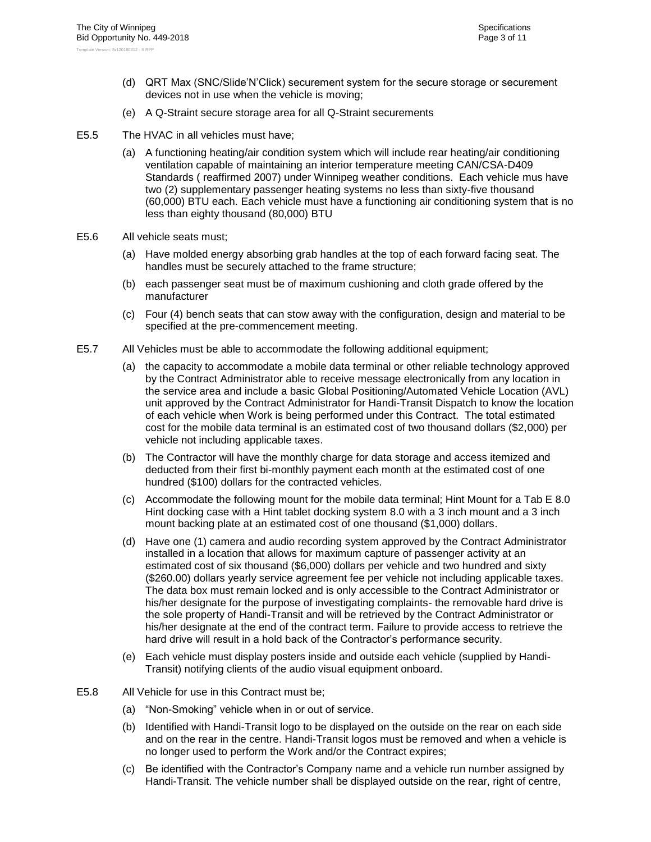- (d) QRT Max (SNC/Slide'N'Click) securement system for the secure storage or securement devices not in use when the vehicle is moving;
- (e) A Q-Straint secure storage area for all Q-Straint securements
- <span id="page-30-1"></span>E5.5 The HVAC in all vehicles must have;
	- (a) A functioning heating/air condition system which will include rear heating/air conditioning ventilation capable of maintaining an interior temperature meeting CAN/CSA-D409 Standards ( reaffirmed 2007) under Winnipeg weather conditions. Each vehicle mus have two (2) supplementary passenger heating systems no less than sixty-five thousand (60,000) BTU each. Each vehicle must have a functioning air conditioning system that is no less than eighty thousand (80,000) BTU
- E5.6 All vehicle seats must;
	- (a) Have molded energy absorbing grab handles at the top of each forward facing seat. The handles must be securely attached to the frame structure;
	- (b) each passenger seat must be of maximum cushioning and cloth grade offered by the manufacturer
	- (c) Four (4) bench seats that can stow away with the configuration, design and material to be specified at the pre-commencement meeting.
- <span id="page-30-0"></span>E5.7 All Vehicles must be able to accommodate the following additional equipment;
	- (a) the capacity to accommodate a mobile data terminal or other reliable technology approved by the Contract Administrator able to receive message electronically from any location in the service area and include a basic Global Positioning/Automated Vehicle Location (AVL) unit approved by the Contract Administrator for Handi-Transit Dispatch to know the location of each vehicle when Work is being performed under this Contract. The total estimated cost for the mobile data terminal is an estimated cost of two thousand dollars (\$2,000) per vehicle not including applicable taxes.
	- (b) The Contractor will have the monthly charge for data storage and access itemized and deducted from their first bi-monthly payment each month at the estimated cost of one hundred (\$100) dollars for the contracted vehicles.
	- (c) Accommodate the following mount for the mobile data terminal; Hint Mount for a Tab E 8.0 Hint docking case with a Hint tablet docking system 8.0 with a 3 inch mount and a 3 inch mount backing plate at an estimated cost of one thousand (\$1,000) dollars.
	- (d) Have one (1) camera and audio recording system approved by the Contract Administrator installed in a location that allows for maximum capture of passenger activity at an estimated cost of six thousand (\$6,000) dollars per vehicle and two hundred and sixty (\$260.00) dollars yearly service agreement fee per vehicle not including applicable taxes. The data box must remain locked and is only accessible to the Contract Administrator or his/her designate for the purpose of investigating complaints- the removable hard drive is the sole property of Handi-Transit and will be retrieved by the Contract Administrator or his/her designate at the end of the contract term. Failure to provide access to retrieve the hard drive will result in a hold back of the Contractor's performance security.
	- (e) Each vehicle must display posters inside and outside each vehicle (supplied by Handi-Transit) notifying clients of the audio visual equipment onboard.
- E5.8 All Vehicle for use in this Contract must be;
	- (a) "Non-Smoking" vehicle when in or out of service.
	- (b) Identified with Handi-Transit logo to be displayed on the outside on the rear on each side and on the rear in the centre. Handi-Transit logos must be removed and when a vehicle is no longer used to perform the Work and/or the Contract expires;
	- (c) Be identified with the Contractor's Company name and a vehicle run number assigned by Handi-Transit. The vehicle number shall be displayed outside on the rear, right of centre,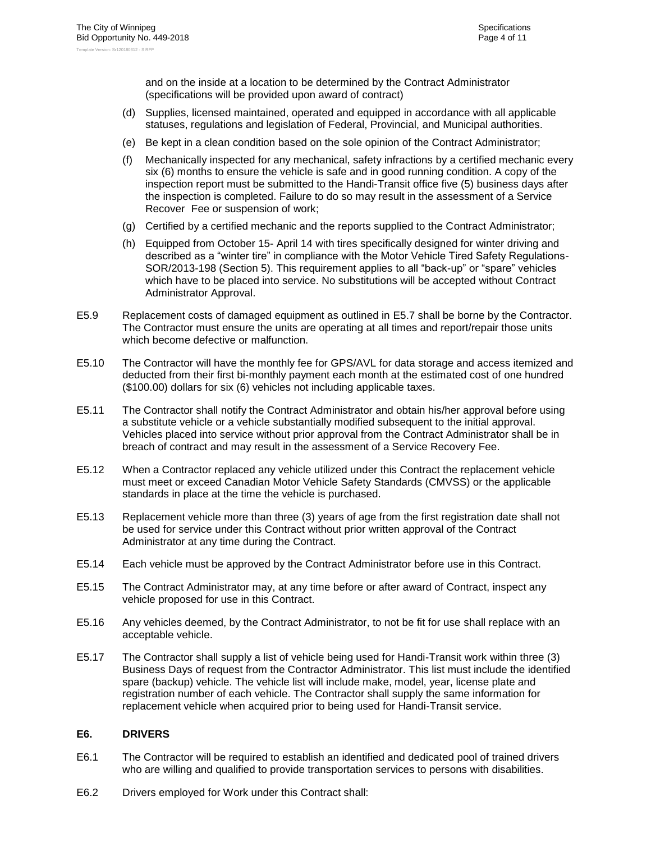and on the inside at a location to be determined by the Contract Administrator (specifications will be provided upon award of contract)

- (d) Supplies, licensed maintained, operated and equipped in accordance with all applicable statuses, regulations and legislation of Federal, Provincial, and Municipal authorities.
- (e) Be kept in a clean condition based on the sole opinion of the Contract Administrator;
- (f) Mechanically inspected for any mechanical, safety infractions by a certified mechanic every six (6) months to ensure the vehicle is safe and in good running condition. A copy of the inspection report must be submitted to the Handi-Transit office five (5) business days after the inspection is completed. Failure to do so may result in the assessment of a Service Recover Fee or suspension of work;
- (g) Certified by a certified mechanic and the reports supplied to the Contract Administrator;
- (h) Equipped from October 15- April 14 with tires specifically designed for winter driving and described as a "winter tire" in compliance with the Motor Vehicle Tired Safety Regulations-SOR/2013-198 (Section 5). This requirement applies to all "back-up" or "spare" vehicles which have to be placed into service. No substitutions will be accepted without Contract Administrator Approval.
- E5.9 Replacement costs of damaged equipment as outlined in [E5.7](#page-30-0) shall be borne by the Contractor. The Contractor must ensure the units are operating at all times and report/repair those units which become defective or malfunction.
- E5.10 The Contractor will have the monthly fee for GPS/AVL for data storage and access itemized and deducted from their first bi-monthly payment each month at the estimated cost of one hundred (\$100.00) dollars for six (6) vehicles not including applicable taxes.
- E5.11 The Contractor shall notify the Contract Administrator and obtain his/her approval before using a substitute vehicle or a vehicle substantially modified subsequent to the initial approval. Vehicles placed into service without prior approval from the Contract Administrator shall be in breach of contract and may result in the assessment of a Service Recovery Fee.
- E5.12 When a Contractor replaced any vehicle utilized under this Contract the replacement vehicle must meet or exceed Canadian Motor Vehicle Safety Standards (CMVSS) or the applicable standards in place at the time the vehicle is purchased.
- E5.13 Replacement vehicle more than three (3) years of age from the first registration date shall not be used for service under this Contract without prior written approval of the Contract Administrator at any time during the Contract.
- E5.14 Each vehicle must be approved by the Contract Administrator before use in this Contract.
- E5.15 The Contract Administrator may, at any time before or after award of Contract, inspect any vehicle proposed for use in this Contract.
- E5.16 Any vehicles deemed, by the Contract Administrator, to not be fit for use shall replace with an acceptable vehicle.
- E5.17 The Contractor shall supply a list of vehicle being used for Handi-Transit work within three (3) Business Days of request from the Contractor Administrator. This list must include the identified spare (backup) vehicle. The vehicle list will include make, model, year, license plate and registration number of each vehicle. The Contractor shall supply the same information for replacement vehicle when acquired prior to being used for Handi-Transit service.

#### <span id="page-31-0"></span>**E6. DRIVERS**

- E6.1 The Contractor will be required to establish an identified and dedicated pool of trained drivers who are willing and qualified to provide transportation services to persons with disabilities.
- E6.2 Drivers employed for Work under this Contract shall: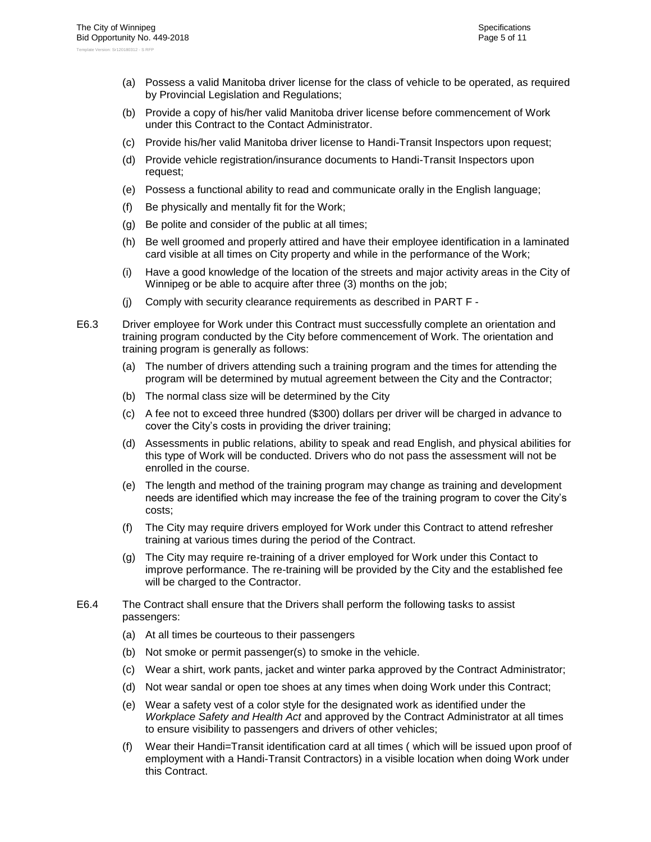- (a) Possess a valid Manitoba driver license for the class of vehicle to be operated, as required by Provincial Legislation and Regulations;
- (b) Provide a copy of his/her valid Manitoba driver license before commencement of Work under this Contract to the Contact Administrator.
- (c) Provide his/her valid Manitoba driver license to Handi-Transit Inspectors upon request;
- (d) Provide vehicle registration/insurance documents to Handi-Transit Inspectors upon request;
- (e) Possess a functional ability to read and communicate orally in the English language;
- (f) Be physically and mentally fit for the Work;
- (g) Be polite and consider of the public at all times;
- (h) Be well groomed and properly attired and have their employee identification in a laminated card visible at all times on City property and while in the performance of the Work;
- (i) Have a good knowledge of the location of the streets and major activity areas in the City of Winnipeg or be able to acquire after three (3) months on the job;
- (j) Comply with security clearance requirements as described in [PART F -](#page-39-0)
- E6.3 Driver employee for Work under this Contract must successfully complete an orientation and training program conducted by the City before commencement of Work. The orientation and training program is generally as follows:
	- (a) The number of drivers attending such a training program and the times for attending the program will be determined by mutual agreement between the City and the Contractor;
	- (b) The normal class size will be determined by the City
	- (c) A fee not to exceed three hundred (\$300) dollars per driver will be charged in advance to cover the City's costs in providing the driver training;
	- (d) Assessments in public relations, ability to speak and read English, and physical abilities for this type of Work will be conducted. Drivers who do not pass the assessment will not be enrolled in the course.
	- (e) The length and method of the training program may change as training and development needs are identified which may increase the fee of the training program to cover the City's costs;
	- (f) The City may require drivers employed for Work under this Contract to attend refresher training at various times during the period of the Contract.
	- (g) The City may require re-training of a driver employed for Work under this Contact to improve performance. The re-training will be provided by the City and the established fee will be charged to the Contractor.
- E6.4 The Contract shall ensure that the Drivers shall perform the following tasks to assist passengers:
	- (a) At all times be courteous to their passengers
	- (b) Not smoke or permit passenger(s) to smoke in the vehicle.
	- (c) Wear a shirt, work pants, jacket and winter parka approved by the Contract Administrator;
	- (d) Not wear sandal or open toe shoes at any times when doing Work under this Contract;
	- (e) Wear a safety vest of a color style for the designated work as identified under the *Workplace Safety and Health Act* and approved by the Contract Administrator at all times to ensure visibility to passengers and drivers of other vehicles;
	- (f) Wear their Handi=Transit identification card at all times ( which will be issued upon proof of employment with a Handi-Transit Contractors) in a visible location when doing Work under this Contract.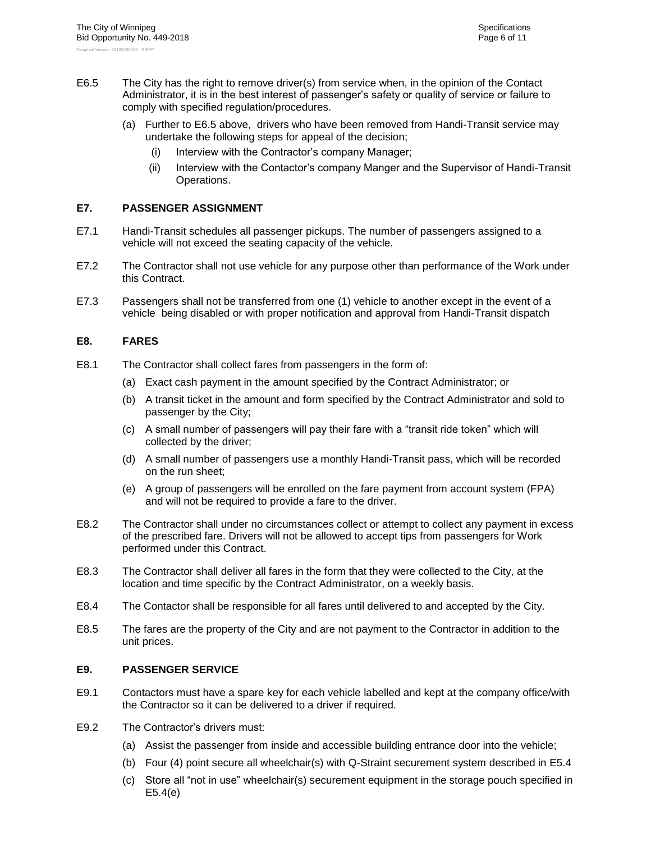- <span id="page-33-3"></span>E6.5 The City has the right to remove driver(s) from service when, in the opinion of the Contact Administrator, it is in the best interest of passenger's safety or quality of service or failure to comply with specified regulation/procedures.
	- (a) Further to [E6.5](#page-33-3) above, drivers who have been removed from Handi-Transit service may undertake the following steps for appeal of the decision;
		- (i) Interview with the Contractor's company Manager;
		- (ii) Interview with the Contactor's company Manger and the Supervisor of Handi-Transit Operations.

#### <span id="page-33-0"></span>**E7. PASSENGER ASSIGNMENT**

- E7.1 Handi-Transit schedules all passenger pickups. The number of passengers assigned to a vehicle will not exceed the seating capacity of the vehicle.
- E7.2 The Contractor shall not use vehicle for any purpose other than performance of the Work under this Contract.
- E7.3 Passengers shall not be transferred from one (1) vehicle to another except in the event of a vehicle being disabled or with proper notification and approval from Handi-Transit dispatch

#### <span id="page-33-1"></span>**E8. FARES**

- E8.1 The Contractor shall collect fares from passengers in the form of:
	- (a) Exact cash payment in the amount specified by the Contract Administrator; or
	- (b) A transit ticket in the amount and form specified by the Contract Administrator and sold to passenger by the City;
	- (c) A small number of passengers will pay their fare with a "transit ride token" which will collected by the driver;
	- (d) A small number of passengers use a monthly Handi-Transit pass, which will be recorded on the run sheet;
	- (e) A group of passengers will be enrolled on the fare payment from account system (FPA) and will not be required to provide a fare to the driver.
- E8.2 The Contractor shall under no circumstances collect or attempt to collect any payment in excess of the prescribed fare. Drivers will not be allowed to accept tips from passengers for Work performed under this Contract.
- E8.3 The Contractor shall deliver all fares in the form that they were collected to the City, at the location and time specific by the Contract Administrator, on a weekly basis.
- E8.4 The Contactor shall be responsible for all fares until delivered to and accepted by the City.
- E8.5 The fares are the property of the City and are not payment to the Contractor in addition to the unit prices.

#### <span id="page-33-2"></span>**E9. PASSENGER SERVICE**

- E9.1 Contactors must have a spare key for each vehicle labelled and kept at the company office/with the Contractor so it can be delivered to a driver if required.
- <span id="page-33-4"></span>E9.2 The Contractor's drivers must:
	- (a) Assist the passenger from inside and accessible building entrance door into the vehicle;
	- (b) Four (4) point secure all wheelchair(s) with Q-Straint securement system described in [E5.4](#page-29-0)
	- (c) Store all "not in use" wheelchair(s) securement equipment in the storage pouch specified in [E5.4\(e\)](#page-30-1)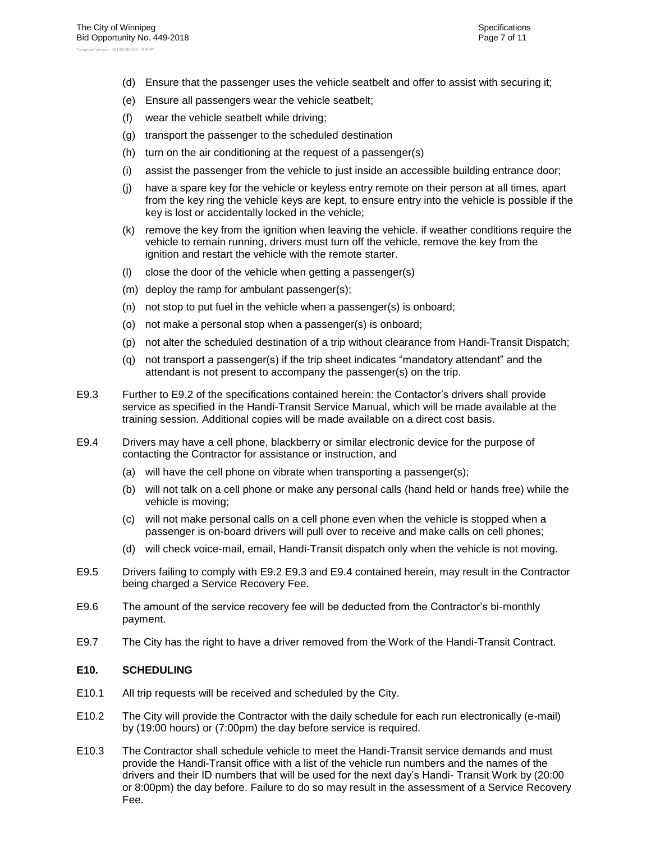- (d) Ensure that the passenger uses the vehicle seatbelt and offer to assist with securing it;
- (e) Ensure all passengers wear the vehicle seatbelt;
- (f) wear the vehicle seatbelt while driving;
- (g) transport the passenger to the scheduled destination
- (h) turn on the air conditioning at the request of a passenger(s)
- (i) assist the passenger from the vehicle to just inside an accessible building entrance door;
- (j) have a spare key for the vehicle or keyless entry remote on their person at all times, apart from the key ring the vehicle keys are kept, to ensure entry into the vehicle is possible if the key is lost or accidentally locked in the vehicle;
- (k) remove the key from the ignition when leaving the vehicle. if weather conditions require the vehicle to remain running, drivers must turn off the vehicle, remove the key from the ignition and restart the vehicle with the remote starter.
- (l) close the door of the vehicle when getting a passenger(s)
- (m) deploy the ramp for ambulant passenger(s);
- (n) not stop to put fuel in the vehicle when a passenger(s) is onboard;
- (o) not make a personal stop when a passenger(s) is onboard;
- (p) not alter the scheduled destination of a trip without clearance from Handi-Transit Dispatch;
- (q) not transport a passenger(s) if the trip sheet indicates "mandatory attendant" and the attendant is not present to accompany the passenger(s) on the trip.
- <span id="page-34-1"></span>E9.3 Further to [E9.2](#page-33-4) of the specifications contained herein: the Contactor's drivers shall provide service as specified in the Handi-Transit Service Manual, which will be made available at the training session. Additional copies will be made available on a direct cost basis.
- <span id="page-34-2"></span>E9.4 Drivers may have a cell phone, blackberry or similar electronic device for the purpose of contacting the Contractor for assistance or instruction, and
	- (a) will have the cell phone on vibrate when transporting a passenger(s);
	- (b) will not talk on a cell phone or make any personal calls (hand held or hands free) while the vehicle is moving;
	- (c) will not make personal calls on a cell phone even when the vehicle is stopped when a passenger is on-board drivers will pull over to receive and make calls on cell phones;
	- (d) will check voice-mail, email, Handi-Transit dispatch only when the vehicle is not moving.
- E9.5 Drivers failing to comply with [E9.2](#page-33-4) [E9.3](#page-34-1) and [E9.4](#page-34-2) contained herein, may result in the Contractor being charged a Service Recovery Fee.
- E9.6 The amount of the service recovery fee will be deducted from the Contractor's bi-monthly payment.
- <span id="page-34-0"></span>E9.7 The City has the right to have a driver removed from the Work of the Handi-Transit Contract.

#### **E10. SCHEDULING**

- E10.1 All trip requests will be received and scheduled by the City.
- E10.2 The City will provide the Contractor with the daily schedule for each run electronically (e-mail) by (19:00 hours) or (7:00pm) the day before service is required.
- E10.3 The Contractor shall schedule vehicle to meet the Handi-Transit service demands and must provide the Handi-Transit office with a list of the vehicle run numbers and the names of the drivers and their ID numbers that will be used for the next day's Handi- Transit Work by (20:00 or 8:00pm) the day before. Failure to do so may result in the assessment of a Service Recovery Fee.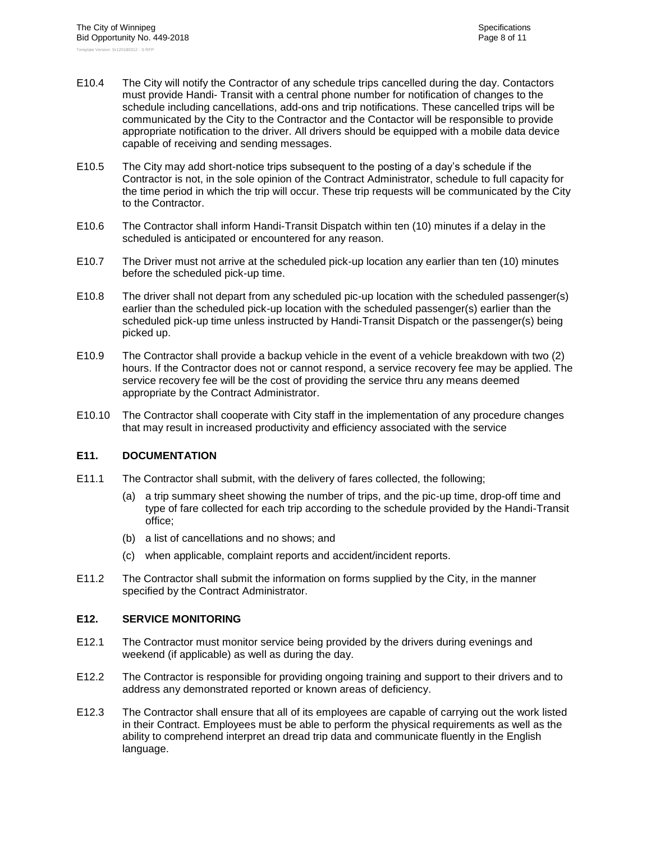- E10.4 The City will notify the Contractor of any schedule trips cancelled during the day. Contactors must provide Handi- Transit with a central phone number for notification of changes to the schedule including cancellations, add-ons and trip notifications. These cancelled trips will be communicated by the City to the Contractor and the Contactor will be responsible to provide appropriate notification to the driver. All drivers should be equipped with a mobile data device capable of receiving and sending messages.
- E10.5 The City may add short-notice trips subsequent to the posting of a day's schedule if the Contractor is not, in the sole opinion of the Contract Administrator, schedule to full capacity for the time period in which the trip will occur. These trip requests will be communicated by the City to the Contractor.
- E10.6 The Contractor shall inform Handi-Transit Dispatch within ten (10) minutes if a delay in the scheduled is anticipated or encountered for any reason.
- E10.7 The Driver must not arrive at the scheduled pick-up location any earlier than ten (10) minutes before the scheduled pick-up time.
- E10.8 The driver shall not depart from any scheduled pic-up location with the scheduled passenger(s) earlier than the scheduled pick-up location with the scheduled passenger(s) earlier than the scheduled pick-up time unless instructed by Handi-Transit Dispatch or the passenger(s) being picked up.
- E10.9 The Contractor shall provide a backup vehicle in the event of a vehicle breakdown with two (2) hours. If the Contractor does not or cannot respond, a service recovery fee may be applied. The service recovery fee will be the cost of providing the service thru any means deemed appropriate by the Contract Administrator.
- E10.10 The Contractor shall cooperate with City staff in the implementation of any procedure changes that may result in increased productivity and efficiency associated with the service

#### <span id="page-35-0"></span>**E11. DOCUMENTATION**

- E11.1 The Contractor shall submit, with the delivery of fares collected, the following;
	- (a) a trip summary sheet showing the number of trips, and the pic-up time, drop-off time and type of fare collected for each trip according to the schedule provided by the Handi-Transit office;
	- (b) a list of cancellations and no shows; and
	- (c) when applicable, complaint reports and accident/incident reports.
- E11.2 The Contractor shall submit the information on forms supplied by the City, in the manner specified by the Contract Administrator.

#### <span id="page-35-1"></span>**E12. SERVICE MONITORING**

- E12.1 The Contractor must monitor service being provided by the drivers during evenings and weekend (if applicable) as well as during the day.
- E12.2 The Contractor is responsible for providing ongoing training and support to their drivers and to address any demonstrated reported or known areas of deficiency.
- E12.3 The Contractor shall ensure that all of its employees are capable of carrying out the work listed in their Contract. Employees must be able to perform the physical requirements as well as the ability to comprehend interpret an dread trip data and communicate fluently in the English language.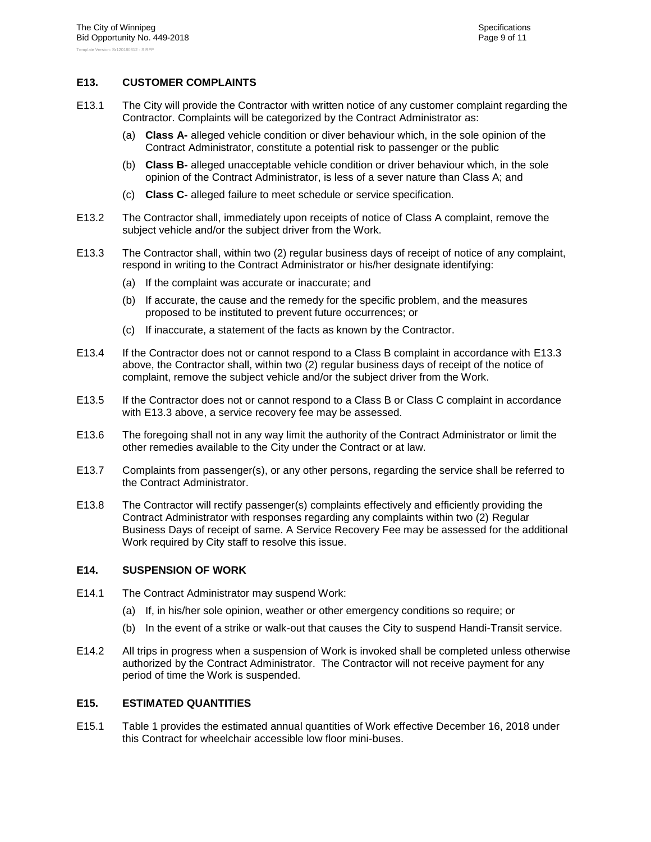#### <span id="page-36-0"></span>**E13. CUSTOMER COMPLAINTS**

- E13.1 The City will provide the Contractor with written notice of any customer complaint regarding the Contractor. Complaints will be categorized by the Contract Administrator as:
	- (a) **Class A-** alleged vehicle condition or diver behaviour which, in the sole opinion of the Contract Administrator, constitute a potential risk to passenger or the public
	- (b) **Class B-** alleged unacceptable vehicle condition or driver behaviour which, in the sole opinion of the Contract Administrator, is less of a sever nature than Class A; and
	- (c) **Class C-** alleged failure to meet schedule or service specification.
- E13.2 The Contractor shall, immediately upon receipts of notice of Class A complaint, remove the subject vehicle and/or the subject driver from the Work.
- <span id="page-36-3"></span>E13.3 The Contractor shall, within two (2) regular business days of receipt of notice of any complaint, respond in writing to the Contract Administrator or his/her designate identifying:
	- (a) If the complaint was accurate or inaccurate; and
	- (b) If accurate, the cause and the remedy for the specific problem, and the measures proposed to be instituted to prevent future occurrences; or
	- (c) If inaccurate, a statement of the facts as known by the Contractor.
- E13.4 If the Contractor does not or cannot respond to a Class B complaint in accordance with [E13.3](#page-36-3) above, the Contractor shall, within two (2) regular business days of receipt of the notice of complaint, remove the subject vehicle and/or the subject driver from the Work.
- E13.5 If the Contractor does not or cannot respond to a Class B or Class C complaint in accordance with [E13.3](#page-36-3) above, a service recovery fee may be assessed.
- E13.6 The foregoing shall not in any way limit the authority of the Contract Administrator or limit the other remedies available to the City under the Contract or at law.
- E13.7 Complaints from passenger(s), or any other persons, regarding the service shall be referred to the Contract Administrator.
- E13.8 The Contractor will rectify passenger(s) complaints effectively and efficiently providing the Contract Administrator with responses regarding any complaints within two (2) Regular Business Days of receipt of same. A Service Recovery Fee may be assessed for the additional Work required by City staff to resolve this issue.

#### <span id="page-36-1"></span>**E14. SUSPENSION OF WORK**

- E14.1 The Contract Administrator may suspend Work:
	- (a) If, in his/her sole opinion, weather or other emergency conditions so require; or
	- (b) In the event of a strike or walk-out that causes the City to suspend Handi-Transit service.
- E14.2 All trips in progress when a suspension of Work is invoked shall be completed unless otherwise authorized by the Contract Administrator. The Contractor will not receive payment for any period of time the Work is suspended.

#### <span id="page-36-2"></span>**E15. ESTIMATED QUANTITIES**

E15.1 Table 1 provides the estimated annual quantities of Work effective December 16, 2018 under this Contract for wheelchair accessible low floor mini-buses.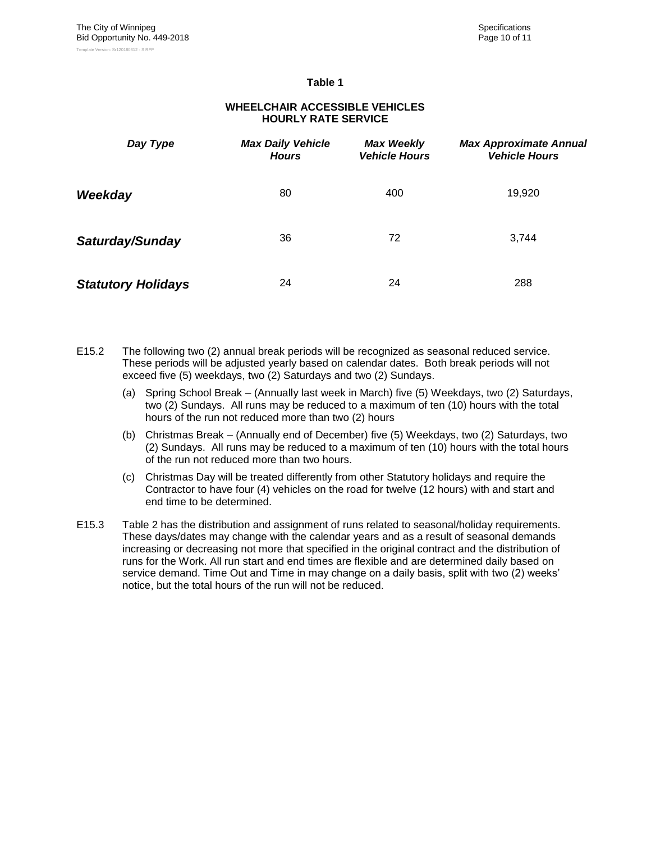#### **Table 1**

**WHEELCHAIR ACCESSIBLE VEHICLES HOURLY RATE SERVICE**

# *Day Type Max Daily Vehicle Hours Max Weekly Vehicle Hours Max Approximate Annual Vehicle Hours* **Weekday** 19,920 **Saturday/Sunday** 36 36 72 3,744 *Statutory Holidays* 24 24 288

- E15.2 The following two (2) annual break periods will be recognized as seasonal reduced service. These periods will be adjusted yearly based on calendar dates. Both break periods will not exceed five (5) weekdays, two (2) Saturdays and two (2) Sundays.
	- (a) Spring School Break (Annually last week in March) five (5) Weekdays, two (2) Saturdays, two (2) Sundays. All runs may be reduced to a maximum of ten (10) hours with the total hours of the run not reduced more than two (2) hours
	- (b) Christmas Break (Annually end of December) five (5) Weekdays, two (2) Saturdays, two (2) Sundays. All runs may be reduced to a maximum of ten (10) hours with the total hours of the run not reduced more than two hours.
	- (c) Christmas Day will be treated differently from other Statutory holidays and require the Contractor to have four (4) vehicles on the road for twelve (12 hours) with and start and end time to be determined.
- E15.3 Table 2 has the distribution and assignment of runs related to seasonal/holiday requirements. These days/dates may change with the calendar years and as a result of seasonal demands increasing or decreasing not more that specified in the original contract and the distribution of runs for the Work. All run start and end times are flexible and are determined daily based on service demand. Time Out and Time in may change on a daily basis, split with two (2) weeks' notice, but the total hours of the run will not be reduced.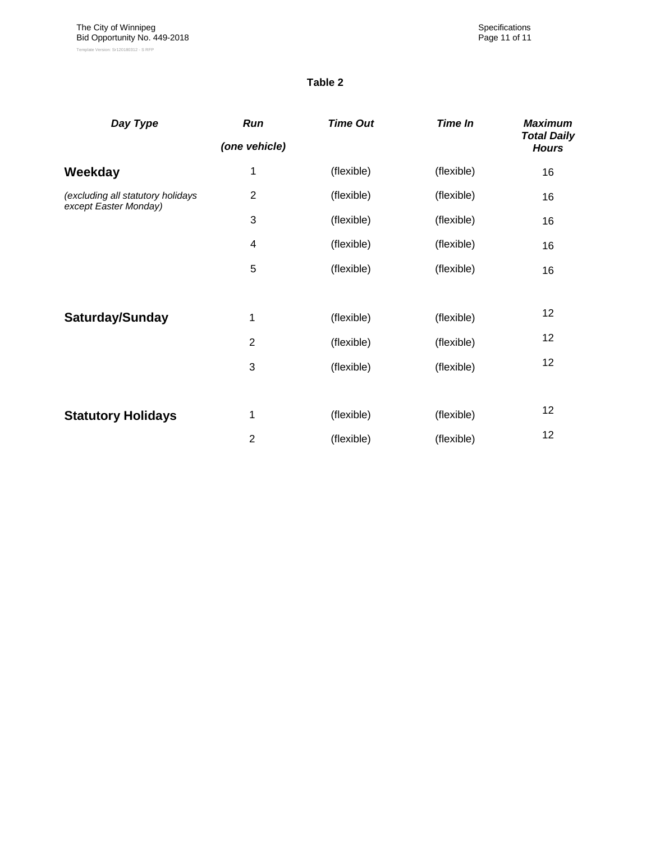#### **Table 2**

| Day Type                                                   | Run            | <b>Time Out</b> | <b>Time In</b> | <b>Maximum</b><br><b>Total Daily</b> |
|------------------------------------------------------------|----------------|-----------------|----------------|--------------------------------------|
|                                                            | (one vehicle)  |                 |                | <b>Hours</b>                         |
| Weekday                                                    | 1              | (flexible)      | (flexible)     | 16                                   |
| (excluding all statutory holidays<br>except Easter Monday) | $\overline{2}$ | (flexible)      | (flexible)     | 16                                   |
|                                                            | 3              | (flexible)      | (flexible)     | 16                                   |
|                                                            | 4              | (flexible)      | (flexible)     | 16                                   |
|                                                            | 5              | (flexible)      | (flexible)     | 16                                   |
|                                                            |                |                 |                |                                      |
| Saturday/Sunday                                            | 1              | (flexible)      | (flexible)     | 12                                   |
|                                                            | $\overline{2}$ | (flexible)      | (flexible)     | 12                                   |
|                                                            | 3              | (flexible)      | (flexible)     | 12                                   |
|                                                            |                |                 |                |                                      |
| <b>Statutory Holidays</b>                                  | 1              | (flexible)      | (flexible)     | 12                                   |
|                                                            | $\overline{2}$ | (flexible)      | (flexible)     | 12                                   |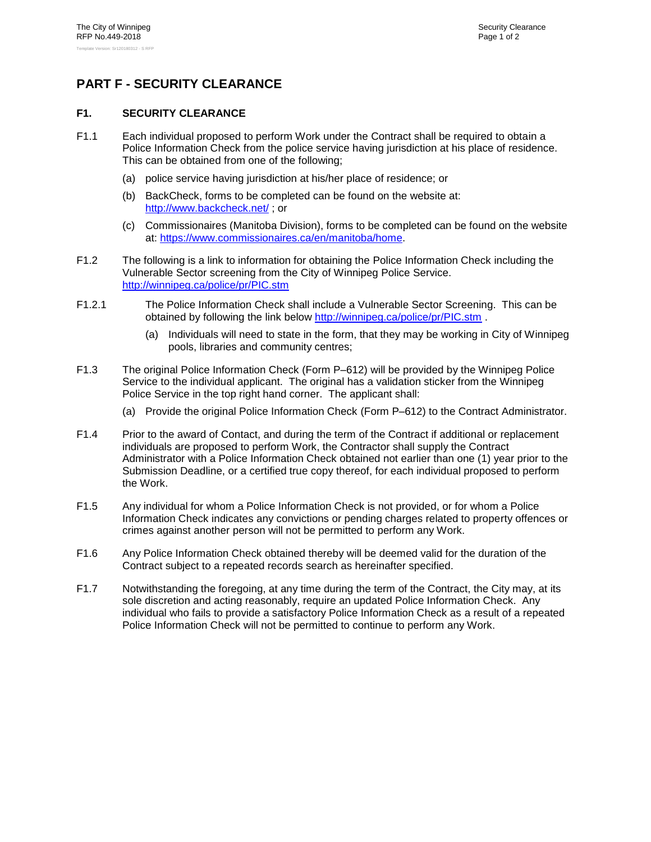# <span id="page-39-1"></span><span id="page-39-0"></span>**PART F - SECURITY CLEARANCE**

#### **F1. SECURITY CLEARANCE**

- F1.1 Each individual proposed to perform Work under the Contract shall be required to obtain a Police Information Check from the police service having jurisdiction at his place of residence. This can be obtained from one of the following;
	- (a) police service having jurisdiction at his/her place of residence; or
	- (b) BackCheck, forms to be completed can be found on the website at: <http://www.backcheck.net/> ; or
	- (c) Commissionaires (Manitoba Division), forms to be completed can be found on the website at: [https://www.commissionaires.ca/en/manitoba/home.](https://www.commissionaires.ca/en/manitoba/home)
- F1.2 The following is a link to information for obtaining the Police Information Check including the Vulnerable Sector screening from the City of Winnipeg Police Service. <http://winnipeg.ca/police/pr/PIC.stm>
- F1.2.1 The Police Information Check shall include a Vulnerable Sector Screening. This can be obtained by following the link below<http://winnipeg.ca/police/pr/PIC.stm> .
	- (a) Individuals will need to state in the form, that they may be working in City of Winnipeg pools, libraries and community centres;
- F1.3 The original Police Information Check (Form P–612) will be provided by the Winnipeg Police Service to the individual applicant. The original has a validation sticker from the Winnipeg Police Service in the top right hand corner. The applicant shall:
	- (a) Provide the original Police Information Check (Form P–612) to the Contract Administrator.
- F1.4 Prior to the award of Contact, and during the term of the Contract if additional or replacement individuals are proposed to perform Work, the Contractor shall supply the Contract Administrator with a Police Information Check obtained not earlier than one (1) year prior to the Submission Deadline, or a certified true copy thereof, for each individual proposed to perform the Work.
- F1.5 Any individual for whom a Police Information Check is not provided, or for whom a Police Information Check indicates any convictions or pending charges related to property offences or crimes against another person will not be permitted to perform any Work.
- F1.6 Any Police Information Check obtained thereby will be deemed valid for the duration of the Contract subject to a repeated records search as hereinafter specified.
- F1.7 Notwithstanding the foregoing, at any time during the term of the Contract, the City may, at its sole discretion and acting reasonably, require an updated Police Information Check. Any individual who fails to provide a satisfactory Police Information Check as a result of a repeated Police Information Check will not be permitted to continue to perform any Work.